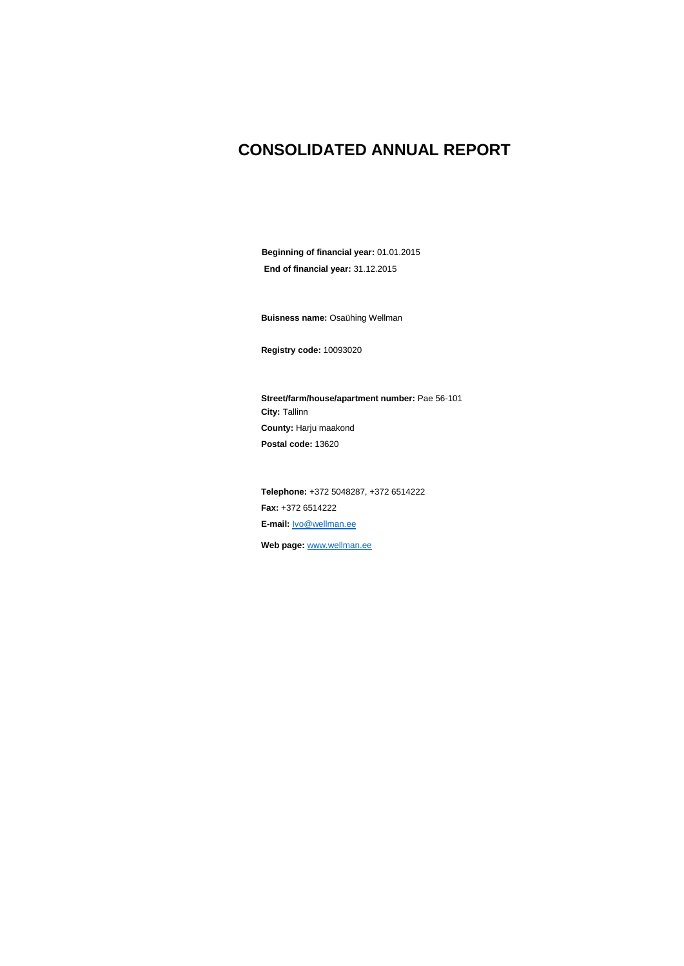### **CONSOLIDATED ANNUAL REPORT**

**Beginning of financial year:** 01.01.2015 **End of financial year:** 31.12.2015

**Buisness name:** Osaühing Wellman

**Registry code:** 10093020

**Street/farm/house/apartment number:** Pae 56-101 **City:** Tallinn **County:** Harju maakond **Postal code:** 13620

**Telephone:** +372 5048287, +372 6514222 **Fax:** +372 6514222 **E-mail:** [Ivo@wellman.ee](mailto:Ivo@wellman.ee)

**Web page:** [www.wellman.ee](http://www.wellman.ee/)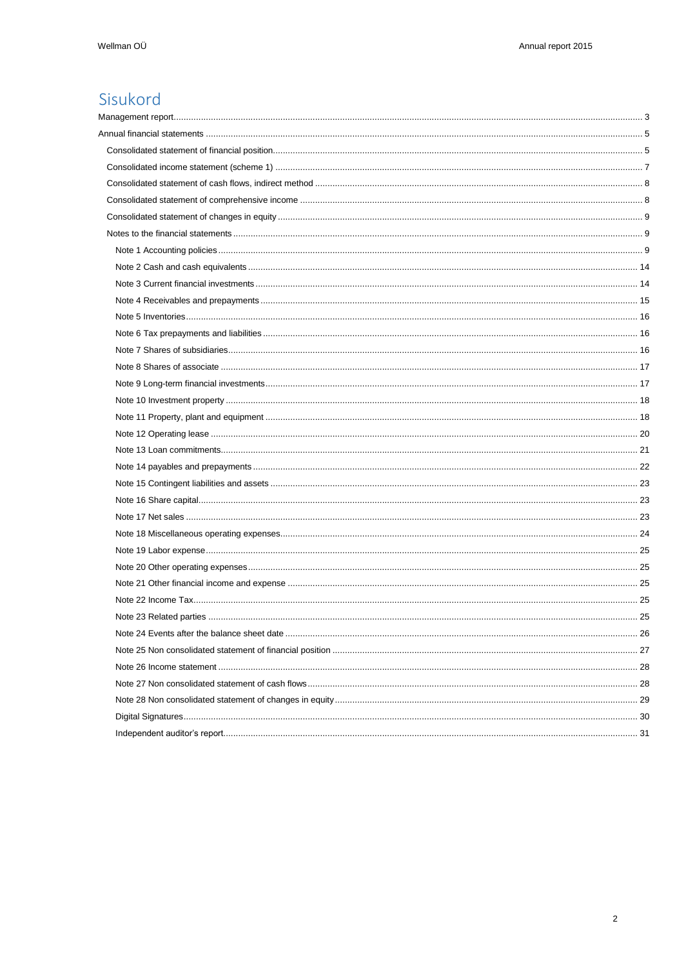## Sisukord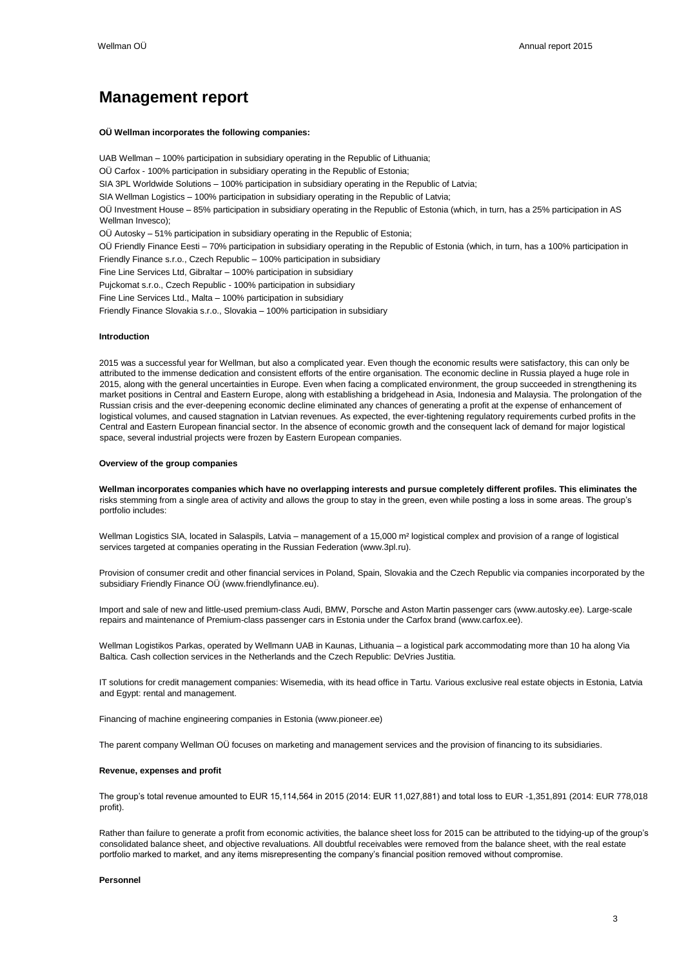### <span id="page-2-0"></span>**Management report**

#### **OÜ Wellman incorporates the following companies:**

UAB Wellman – 100% participation in subsidiary operating in the Republic of Lithuania; OÜ Carfox - 100% participation in subsidiary operating in the Republic of Estonia; SIA 3PL Worldwide Solutions – 100% participation in subsidiary operating in the Republic of Latvia; SIA Wellman Logistics – 100% participation in subsidiary operating in the Republic of Latvia: OÜ Investment House – 85% participation in subsidiary operating in the Republic of Estonia (which, in turn, has a 25% participation in AS Wellman Invesco); OÜ Autosky – 51% participation in subsidiary operating in the Republic of Estonia; OÜ Friendly Finance Eesti – 70% participation in subsidiary operating in the Republic of Estonia (which, in turn, has a 100% participation in Friendly Finance s.r.o., Czech Republic – 100% participation in subsidiary Fine Line Services Ltd, Gibraltar – 100% participation in subsidiary Pujckomat s.r.o., Czech Republic - 100% participation in subsidiary Fine Line Services Ltd., Malta – 100% participation in subsidiary Friendly Finance Slovakia s.r.o., Slovakia – 100% participation in subsidiary

#### **Introduction**

2015 was a successful year for Wellman, but also a complicated year. Even though the economic results were satisfactory, this can only be attributed to the immense dedication and consistent efforts of the entire organisation. The economic decline in Russia played a huge role in 2015, along with the general uncertainties in Europe. Even when facing a complicated environment, the group succeeded in strengthening its market positions in Central and Eastern Europe, along with establishing a bridgehead in Asia, Indonesia and Malaysia. The prolongation of the Russian crisis and the ever-deepening economic decline eliminated any chances of generating a profit at the expense of enhancement of logistical volumes, and caused stagnation in Latvian revenues. As expected, the ever-tightening regulatory requirements curbed profits in the Central and Eastern European financial sector. In the absence of economic growth and the consequent lack of demand for major logistical space, several industrial projects were frozen by Eastern European companies.

#### **Overview of the group companies**

**Wellman incorporates companies which have no overlapping interests and pursue completely different profiles. This eliminates the**  risks stemming from a single area of activity and allows the group to stay in the green, even while posting a loss in some areas. The group's portfolio includes:

Wellman Logistics SIA, located in Salaspils, Latvia – management of a 15,000 m² logistical complex and provision of a range of logistical services targeted at companies operating in the Russian Federation (www.3pl.ru).

Provision of consumer credit and other financial services in Poland, Spain, Slovakia and the Czech Republic via companies incorporated by the subsidiary Friendly Finance OÜ (www.friendlyfinance.eu).

Import and sale of new and little-used premium-class Audi, BMW, Porsche and Aston Martin passenger cars (www.autosky.ee). Large-scale repairs and maintenance of Premium-class passenger cars in Estonia under the Carfox brand (www.carfox.ee).

Wellman Logistikos Parkas, operated by Wellmann UAB in Kaunas, Lithuania – a logistical park accommodating more than 10 ha along Via Baltica. Cash collection services in the Netherlands and the Czech Republic: DeVries Justitia.

IT solutions for credit management companies: Wisemedia, with its head office in Tartu. Various exclusive real estate objects in Estonia, Latvia and Egypt: rental and management.

Financing of machine engineering companies in Estonia (www.pioneer.ee)

The parent company Wellman OÜ focuses on marketing and management services and the provision of financing to its subsidiaries.

#### **Revenue, expenses and profit**

The group's total revenue amounted to EUR 15,114,564 in 2015 (2014: EUR 11,027,881) and total loss to EUR -1,351,891 (2014: EUR 778,018 profit).

Rather than failure to generate a profit from economic activities, the balance sheet loss for 2015 can be attributed to the tidying-up of the group's consolidated balance sheet, and objective revaluations. All doubtful receivables were removed from the balance sheet, with the real estate portfolio marked to market, and any items misrepresenting the company's financial position removed without compromise.

#### **Personnel**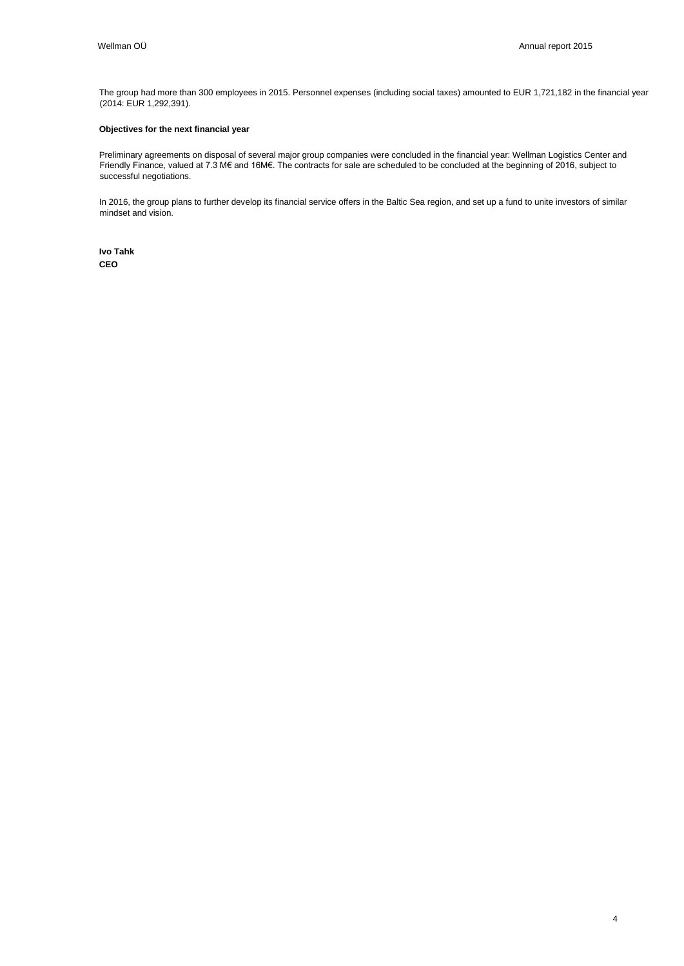The group had more than 300 employees in 2015. Personnel expenses (including social taxes) amounted to EUR 1,721,182 in the financial year (2014: EUR 1,292,391).

#### **Objectives for the next financial year**

Preliminary agreements on disposal of several major group companies were concluded in the financial year: Wellman Logistics Center and Friendly Finance, valued at 7.3 M€ and 16M€. The contracts for sale are scheduled to be concluded at the beginning of 2016, subject to successful negotiations.

In 2016, the group plans to further develop its financial service offers in the Baltic Sea region, and set up a fund to unite investors of similar mindset and vision.

**Ivo Tahk CEO**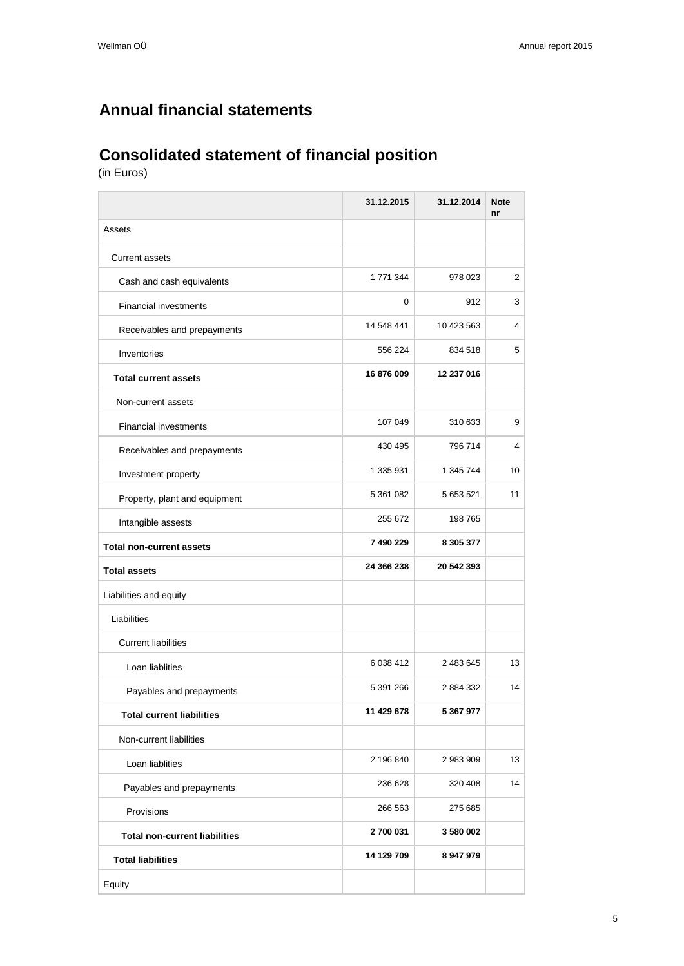## <span id="page-4-0"></span>**Annual financial statements**

## <span id="page-4-1"></span>**Consolidated statement of financial position**

(in Euros)

|                                      | 31.12.2015 | 31.12.2014 | <b>Note</b><br>nr |
|--------------------------------------|------------|------------|-------------------|
| Assets                               |            |            |                   |
| <b>Current assets</b>                |            |            |                   |
| Cash and cash equivalents            | 1 771 344  | 978 023    | 2                 |
| <b>Financial investments</b>         | 0          | 912        | 3                 |
| Receivables and prepayments          | 14 548 441 | 10 423 563 | 4                 |
| Inventories                          | 556 224    | 834 518    | 5                 |
| <b>Total current assets</b>          | 16 876 009 | 12 237 016 |                   |
| Non-current assets                   |            |            |                   |
| <b>Financial investments</b>         | 107 049    | 310 633    | 9                 |
| Receivables and prepayments          | 430 495    | 796 714    | 4                 |
| Investment property                  | 1 335 931  | 1 345 744  | 10                |
| Property, plant and equipment        | 5 361 082  | 5 653 521  | 11                |
| Intangible assests                   | 255 672    | 198 765    |                   |
| <b>Total non-current assets</b>      | 7 490 229  | 8 305 377  |                   |
| <b>Total assets</b>                  | 24 366 238 | 20 542 393 |                   |
| Liabilities and equity               |            |            |                   |
| Liabilities                          |            |            |                   |
| <b>Current liabilities</b>           |            |            |                   |
| Loan liablities                      | 6 038 412  | 2 483 645  | 13                |
| Payables and prepayments             | 5 391 266  | 2 884 332  | 14                |
| <b>Total current liabilities</b>     | 11 429 678 | 5 367 977  |                   |
| Non-current liabilities              |            |            |                   |
| Loan liablities                      | 2 196 840  | 2 983 909  | 13                |
| Payables and prepayments             | 236 628    | 320 408    | 14                |
| Provisions                           | 266 563    | 275 685    |                   |
| <b>Total non-current liabilities</b> | 2700 031   | 3 580 002  |                   |
| <b>Total liabilities</b>             | 14 129 709 | 8 947 979  |                   |
| Equity                               |            |            |                   |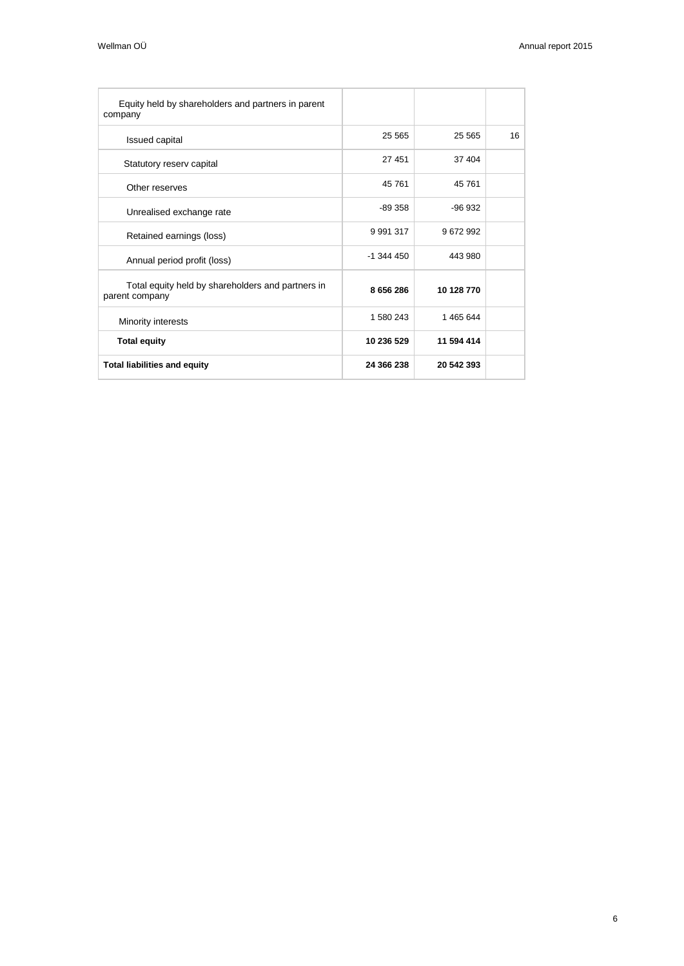| Equity held by shareholders and partners in parent<br>company       |               |            |    |
|---------------------------------------------------------------------|---------------|------------|----|
| <b>Issued capital</b>                                               | 25 5 65       | 25 565     | 16 |
| Statutory reserv capital                                            | 27 451        | 37 404     |    |
| Other reserves                                                      | 45 761        | 45 761     |    |
| Unrealised exchange rate                                            | $-89358$      | $-96.932$  |    |
| Retained earnings (loss)                                            | 9 9 9 1 3 1 7 | 9672992    |    |
| Annual period profit (loss)                                         | $-1.344450$   | 443 980    |    |
| Total equity held by shareholders and partners in<br>parent company | 8 656 286     | 10 128 770 |    |
| Minority interests                                                  | 1 580 243     | 1 465 644  |    |
| <b>Total equity</b>                                                 | 10 236 529    | 11 594 414 |    |
| <b>Total liabilities and equity</b>                                 | 24 366 238    | 20 542 393 |    |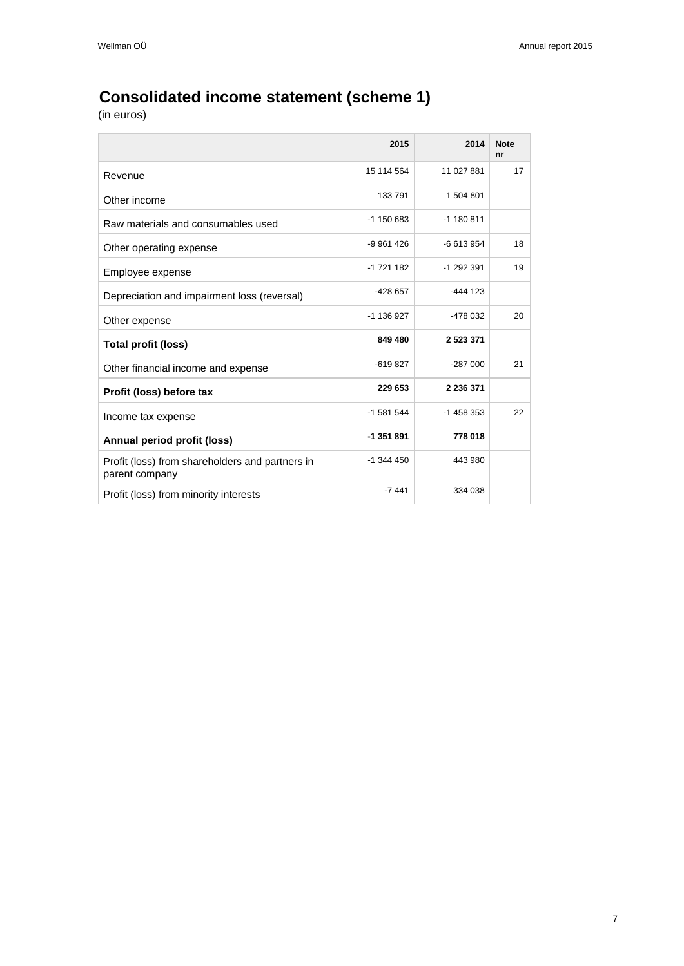# <span id="page-6-0"></span>**Consolidated income statement (scheme 1)**

|                                                                   | 2015         | 2014          | <b>Note</b><br>nr |
|-------------------------------------------------------------------|--------------|---------------|-------------------|
| Revenue                                                           | 15 114 564   | 11 027 881    | 17                |
| Other income                                                      | 133791       | 1 504 801     |                   |
| Raw materials and consumables used                                | $-1$ 150 683 | $-1$ 180 811  |                   |
| Other operating expense                                           | -9 961 426   | -6 613 954    | 18                |
| Employee expense                                                  | -1 721 182   | -1 292 391    | 19                |
| Depreciation and impairment loss (reversal)                       | -428 657     | $-444$ 123    |                   |
| Other expense                                                     | -1 136 927   | -478 032      | 20                |
| <b>Total profit (loss)</b>                                        | 849 480      | 2 5 2 3 3 7 1 |                   |
| Other financial income and expense                                | $-619827$    | $-287000$     | 21                |
| Profit (loss) before tax                                          | 229 653      | 2 2 3 6 3 7 1 |                   |
| Income tax expense                                                | -1 581 544   | $-1458353$    | 22                |
| Annual period profit (loss)                                       | -1 351 891   | 778 018       |                   |
| Profit (loss) from shareholders and partners in<br>parent company | $-1$ 344 450 | 443 980       |                   |
| Profit (loss) from minority interests                             | $-7441$      | 334 038       |                   |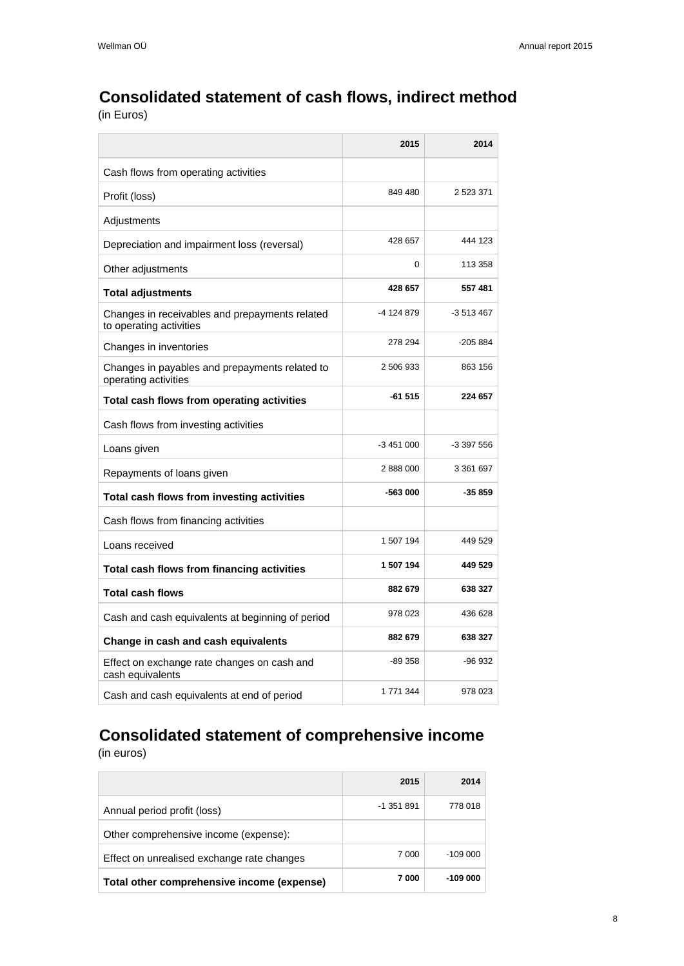## <span id="page-7-0"></span>**Consolidated statement of cash flows, indirect method**

(in Euros)

|                                                                           | 2015       | 2014       |
|---------------------------------------------------------------------------|------------|------------|
| Cash flows from operating activities                                      |            |            |
| Profit (loss)                                                             | 849 480    | 2 523 371  |
| Adjustments                                                               |            |            |
| Depreciation and impairment loss (reversal)                               | 428 657    | 444 123    |
| Other adjustments                                                         | 0          | 113 358    |
| <b>Total adjustments</b>                                                  | 428 657    | 557481     |
| Changes in receivables and prepayments related<br>to operating activities | -4 124 879 | -3 513 467 |
| Changes in inventories                                                    | 278 294    | $-205884$  |
| Changes in payables and prepayments related to<br>operating activities    | 2 506 933  | 863 156    |
| Total cash flows from operating activities                                | $-61515$   | 224 657    |
| Cash flows from investing activities                                      |            |            |
| Loans given                                                               | $-3451000$ | -3 397 556 |
| Repayments of loans given                                                 | 2888000    | 3 361 697  |
| Total cash flows from investing activities                                | -563 000   | $-35859$   |
| Cash flows from financing activities                                      |            |            |
| Loans received                                                            | 1 507 194  | 449 529    |
| Total cash flows from financing activities                                | 1 507 194  | 449 529    |
| <b>Total cash flows</b>                                                   | 882 679    | 638 327    |
| Cash and cash equivalents at beginning of period                          | 978 023    | 436 628    |
| Change in cash and cash equivalents                                       | 882 679    | 638 327    |
| Effect on exchange rate changes on cash and<br>cash equivalents           | -89 358    | $-96932$   |
| Cash and cash equivalents at end of period                                | 1 771 344  | 978 023    |

# <span id="page-7-1"></span>**Consolidated statement of comprehensive income**

|                                            | 2015       | 2014      |
|--------------------------------------------|------------|-----------|
| Annual period profit (loss)                | $-1351891$ | 778 018   |
| Other comprehensive income (expense):      |            |           |
| Effect on unrealised exchange rate changes | 7 000      | -109 000  |
| Total other comprehensive income (expense) | 7000       | $-109000$ |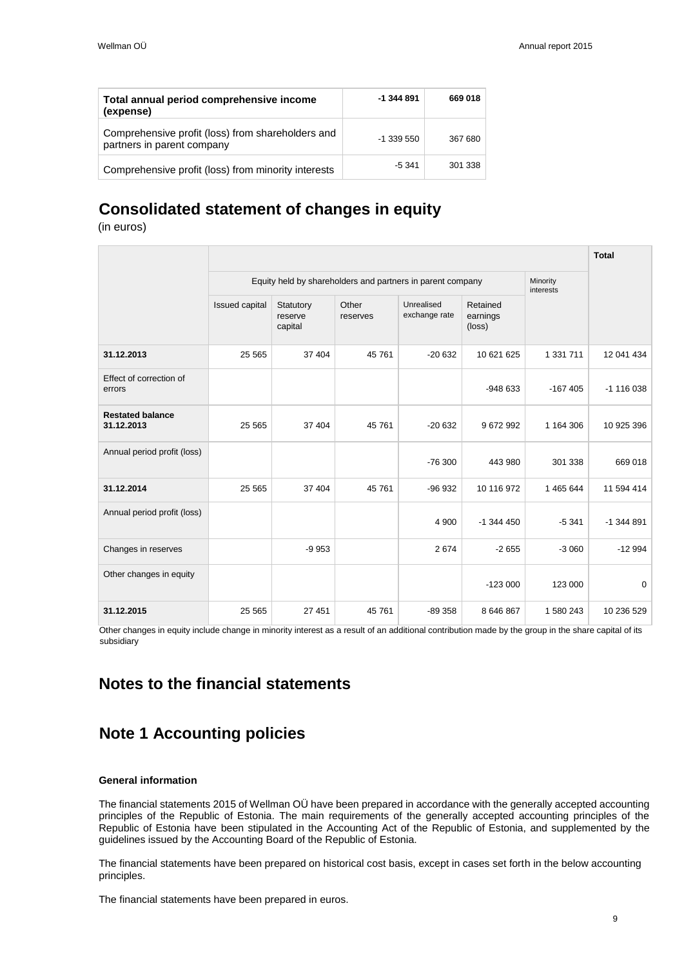| Total annual period comprehensive income<br>(expense)                           | $-1.344.891$ | 669 018 |
|---------------------------------------------------------------------------------|--------------|---------|
| Comprehensive profit (loss) from shareholders and<br>partners in parent company | $-1$ 339 550 | 367 680 |
| Comprehensive profit (loss) from minority interests                             | $-5.341$     | 301 338 |

### <span id="page-8-0"></span>**Consolidated statement of changes in equity**

(in euros)

|                                                            |                |                                 |                   |                             |                                |           | <b>Total</b> |
|------------------------------------------------------------|----------------|---------------------------------|-------------------|-----------------------------|--------------------------------|-----------|--------------|
| Equity held by shareholders and partners in parent company |                |                                 |                   |                             | Minority<br>interests          |           |              |
|                                                            | Issued capital | Statutory<br>reserve<br>capital | Other<br>reserves | Unrealised<br>exchange rate | Retained<br>earnings<br>(loss) |           |              |
| 31.12.2013                                                 | 25 5 65        | 37 404                          | 45 761            | $-20632$                    | 10 621 625                     | 1 331 711 | 12 041 434   |
| Effect of correction of<br>errors                          |                |                                 |                   |                             | $-948633$                      | $-167405$ | $-1$ 116 038 |
| <b>Restated balance</b><br>31.12.2013                      | 25 5 65        | 37 404                          | 45 761            | $-20632$                    | 9672992                        | 1 164 306 | 10 925 396   |
| Annual period profit (loss)                                |                |                                 |                   | $-76300$                    | 443 980                        | 301 338   | 669 018      |
| 31.12.2014                                                 | 25 5 65        | 37 404                          | 45 761            | $-96932$                    | 10 116 972                     | 1 465 644 | 11 594 414   |
| Annual period profit (loss)                                |                |                                 |                   | 4 9 0 0                     | $-1$ 344 450                   | $-5341$   | $-1$ 344 891 |
| Changes in reserves                                        |                | $-9953$                         |                   | 2674                        | $-2655$                        | $-3060$   | $-12994$     |
| Other changes in equity                                    |                |                                 |                   |                             | $-123000$                      | 123 000   | $\mathbf 0$  |
| 31.12.2015                                                 | 25 5 65        | 27 451                          | 45 761            | $-89358$                    | 8 646 867                      | 1 580 243 | 10 236 529   |

Other changes in equity include change in minority interest as a result of an additional contribution made by the group in the share capital of its subsidiary

### <span id="page-8-1"></span>**Notes to the financial statements**

### <span id="page-8-2"></span>**Note 1 Accounting policies**

### **General information**

The financial statements 2015 of Wellman OÜ have been prepared in accordance with the generally accepted accounting principles of the Republic of Estonia. The main requirements of the generally accepted accounting principles of the Republic of Estonia have been stipulated in the Accounting Act of the Republic of Estonia, and supplemented by the guidelines issued by the Accounting Board of the Republic of Estonia.

The financial statements have been prepared on historical cost basis, except in cases set forth in the below accounting principles.

The financial statements have been prepared in euros.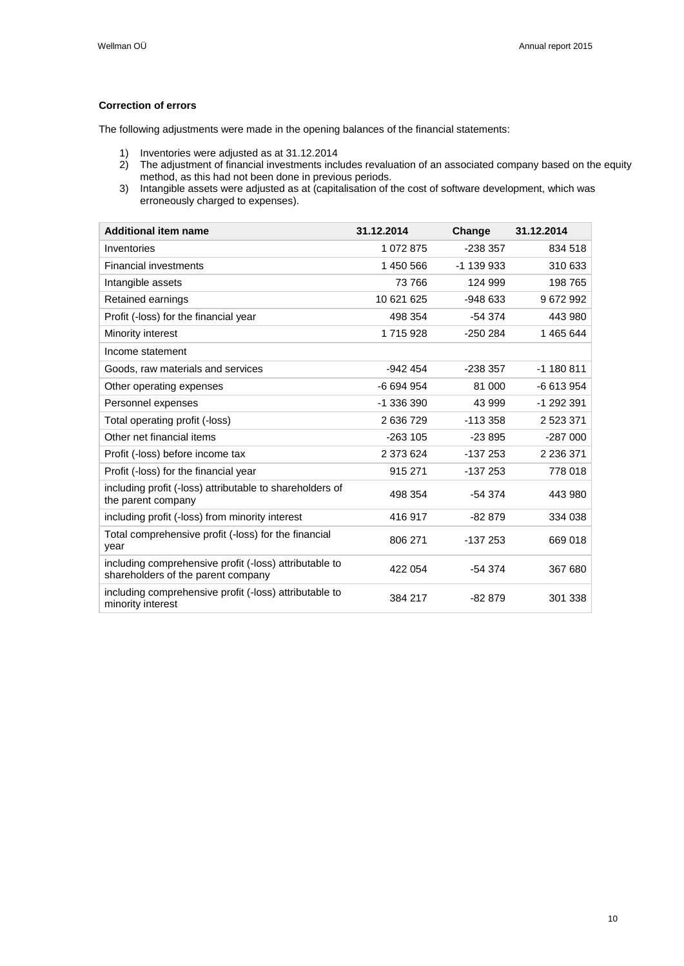### **Correction of errors**

The following adjustments were made in the opening balances of the financial statements:

- 1) Inventories were adjusted as at 31.12.2014
- 2) The adjustment of financial investments includes revaluation of an associated company based on the equity method, as this had not been done in previous periods.
- 3) Intangible assets were adjusted as at (capitalisation of the cost of software development, which was erroneously charged to expenses).

| <b>Additional item name</b>                                                                  | 31.12.2014 | Change     | 31.12.2014    |
|----------------------------------------------------------------------------------------------|------------|------------|---------------|
| Inventories                                                                                  | 1 072 875  | $-238357$  | 834 518       |
| <b>Financial investments</b>                                                                 | 1 450 566  | $-1139933$ | 310 633       |
| Intangible assets                                                                            | 73 766     | 124 999    | 198 765       |
| Retained earnings                                                                            | 10 621 625 | $-948633$  | 9672992       |
| Profit (-loss) for the financial year                                                        | 498 354    | $-54374$   | 443 980       |
| Minority interest                                                                            | 1715928    | $-250284$  | 1465644       |
| Income statement                                                                             |            |            |               |
| Goods, raw materials and services                                                            | $-942454$  | $-238357$  | -1 180 811    |
| Other operating expenses                                                                     | -6 694 954 | 81 000     | -6 613 954    |
| Personnel expenses                                                                           | -1 336 390 | 43 999     | -1 292 391    |
| Total operating profit (-loss)                                                               | 2 636 729  | $-113.358$ | 2 5 2 3 3 7 1 |
| Other net financial items                                                                    | $-263$ 105 | $-23895$   | $-287000$     |
| Profit (-loss) before income tax                                                             | 2 373 624  | $-137253$  | 2 2 3 6 3 7 1 |
| Profit (-loss) for the financial year                                                        | 915 271    | $-137253$  | 778 018       |
| including profit (-loss) attributable to shareholders of<br>the parent company               | 498 354    | $-54374$   | 443 980       |
| including profit (-loss) from minority interest                                              | 416 917    | $-82879$   | 334 038       |
| Total comprehensive profit (-loss) for the financial<br>year                                 | 806 271    | $-137253$  | 669 018       |
| including comprehensive profit (-loss) attributable to<br>shareholders of the parent company | 422 054    | $-54374$   | 367 680       |
| including comprehensive profit (-loss) attributable to<br>minority interest                  | 384 217    | $-82879$   | 301 338       |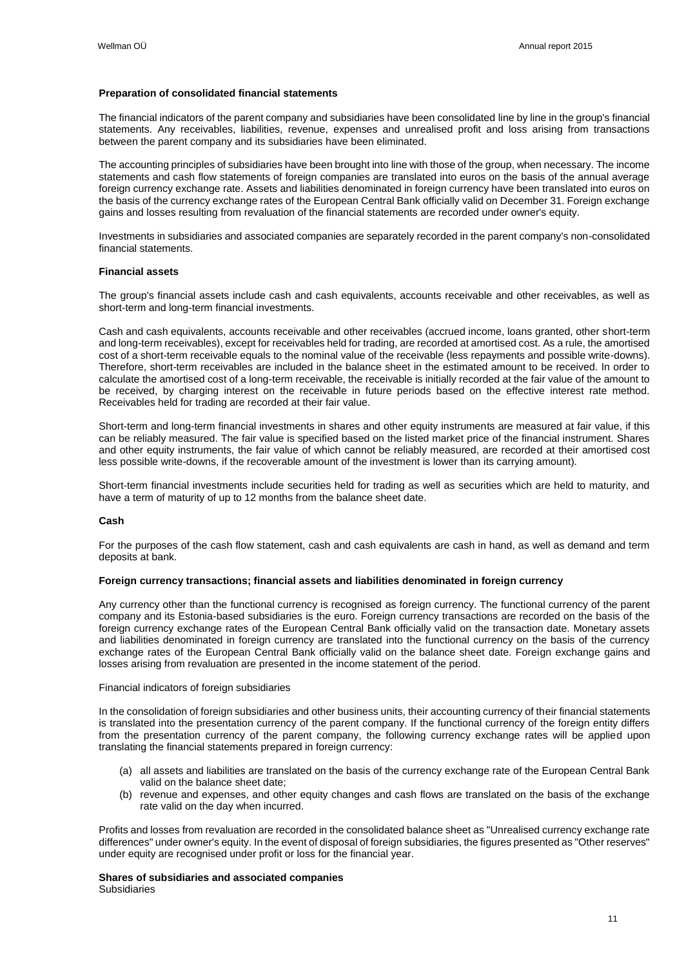### **Preparation of consolidated financial statements**

The financial indicators of the parent company and subsidiaries have been consolidated line by line in the group's financial statements. Any receivables, liabilities, revenue, expenses and unrealised profit and loss arising from transactions between the parent company and its subsidiaries have been eliminated.

The accounting principles of subsidiaries have been brought into line with those of the group, when necessary. The income statements and cash flow statements of foreign companies are translated into euros on the basis of the annual average foreign currency exchange rate. Assets and liabilities denominated in foreign currency have been translated into euros on the basis of the currency exchange rates of the European Central Bank officially valid on December 31. Foreign exchange gains and losses resulting from revaluation of the financial statements are recorded under owner's equity.

Investments in subsidiaries and associated companies are separately recorded in the parent company's non-consolidated financial statements.

### **Financial assets**

The group's financial assets include cash and cash equivalents, accounts receivable and other receivables, as well as short-term and long-term financial investments.

Cash and cash equivalents, accounts receivable and other receivables (accrued income, loans granted, other short-term and long-term receivables), except for receivables held for trading, are recorded at amortised cost. As a rule, the amortised cost of a short-term receivable equals to the nominal value of the receivable (less repayments and possible write-downs). Therefore, short-term receivables are included in the balance sheet in the estimated amount to be received. In order to calculate the amortised cost of a long-term receivable, the receivable is initially recorded at the fair value of the amount to be received, by charging interest on the receivable in future periods based on the effective interest rate method. Receivables held for trading are recorded at their fair value.

Short-term and long-term financial investments in shares and other equity instruments are measured at fair value, if this can be reliably measured. The fair value is specified based on the listed market price of the financial instrument. Shares and other equity instruments, the fair value of which cannot be reliably measured, are recorded at their amortised cost less possible write-downs, if the recoverable amount of the investment is lower than its carrying amount).

Short-term financial investments include securities held for trading as well as securities which are held to maturity, and have a term of maturity of up to 12 months from the balance sheet date.

#### **Cash**

For the purposes of the cash flow statement, cash and cash equivalents are cash in hand, as well as demand and term deposits at bank.

#### **Foreign currency transactions; financial assets and liabilities denominated in foreign currency**

Any currency other than the functional currency is recognised as foreign currency. The functional currency of the parent company and its Estonia-based subsidiaries is the euro. Foreign currency transactions are recorded on the basis of the foreign currency exchange rates of the European Central Bank officially valid on the transaction date. Monetary assets and liabilities denominated in foreign currency are translated into the functional currency on the basis of the currency exchange rates of the European Central Bank officially valid on the balance sheet date. Foreign exchange gains and losses arising from revaluation are presented in the income statement of the period.

#### Financial indicators of foreign subsidiaries

In the consolidation of foreign subsidiaries and other business units, their accounting currency of their financial statements is translated into the presentation currency of the parent company. If the functional currency of the foreign entity differs from the presentation currency of the parent company, the following currency exchange rates will be applied upon translating the financial statements prepared in foreign currency:

- (a) all assets and liabilities are translated on the basis of the currency exchange rate of the European Central Bank valid on the balance sheet date;
- (b) revenue and expenses, and other equity changes and cash flows are translated on the basis of the exchange rate valid on the day when incurred.

Profits and losses from revaluation are recorded in the consolidated balance sheet as "Unrealised currency exchange rate differences" under owner's equity. In the event of disposal of foreign subsidiaries, the figures presented as "Other reserves" under equity are recognised under profit or loss for the financial year.

**Shares of subsidiaries and associated companies** Subsidiaries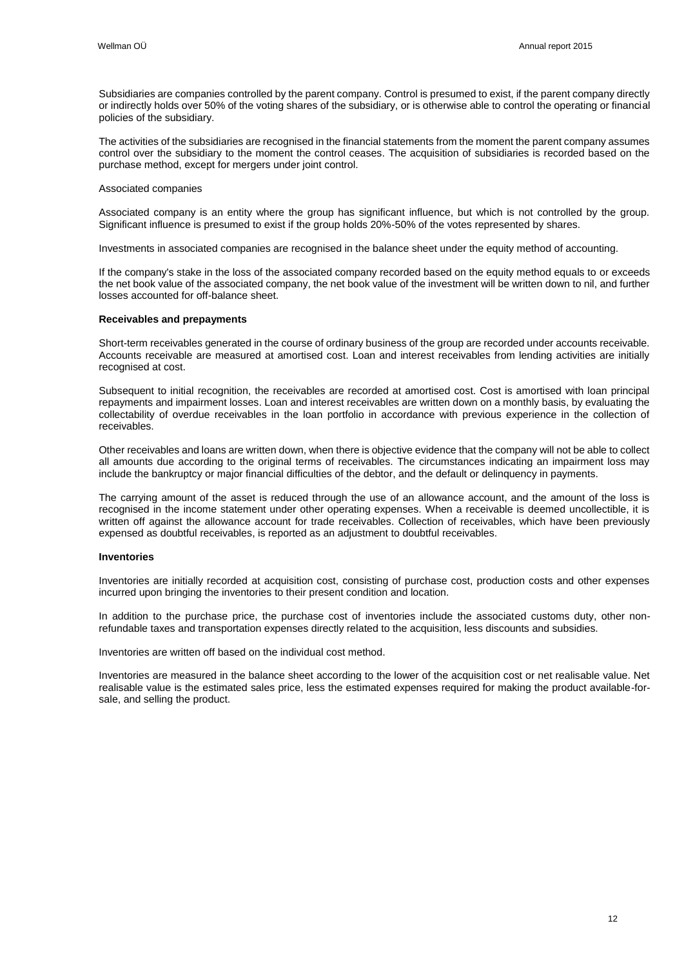Subsidiaries are companies controlled by the parent company. Control is presumed to exist, if the parent company directly or indirectly holds over 50% of the voting shares of the subsidiary, or is otherwise able to control the operating or financial policies of the subsidiary.

The activities of the subsidiaries are recognised in the financial statements from the moment the parent company assumes control over the subsidiary to the moment the control ceases. The acquisition of subsidiaries is recorded based on the purchase method, except for mergers under joint control.

#### Associated companies

Associated company is an entity where the group has significant influence, but which is not controlled by the group. Significant influence is presumed to exist if the group holds 20%-50% of the votes represented by shares.

Investments in associated companies are recognised in the balance sheet under the equity method of accounting.

If the company's stake in the loss of the associated company recorded based on the equity method equals to or exceeds the net book value of the associated company, the net book value of the investment will be written down to nil, and further losses accounted for off-balance sheet.

### **Receivables and prepayments**

Short-term receivables generated in the course of ordinary business of the group are recorded under accounts receivable. Accounts receivable are measured at amortised cost. Loan and interest receivables from lending activities are initially recognised at cost.

Subsequent to initial recognition, the receivables are recorded at amortised cost. Cost is amortised with loan principal repayments and impairment losses. Loan and interest receivables are written down on a monthly basis, by evaluating the collectability of overdue receivables in the loan portfolio in accordance with previous experience in the collection of receivables.

Other receivables and loans are written down, when there is objective evidence that the company will not be able to collect all amounts due according to the original terms of receivables. The circumstances indicating an impairment loss may include the bankruptcy or major financial difficulties of the debtor, and the default or delinquency in payments.

The carrying amount of the asset is reduced through the use of an allowance account, and the amount of the loss is recognised in the income statement under other operating expenses. When a receivable is deemed uncollectible, it is written off against the allowance account for trade receivables. Collection of receivables, which have been previously expensed as doubtful receivables, is reported as an adjustment to doubtful receivables.

### **Inventories**

Inventories are initially recorded at acquisition cost, consisting of purchase cost, production costs and other expenses incurred upon bringing the inventories to their present condition and location.

In addition to the purchase price, the purchase cost of inventories include the associated customs duty, other nonrefundable taxes and transportation expenses directly related to the acquisition, less discounts and subsidies.

Inventories are written off based on the individual cost method.

Inventories are measured in the balance sheet according to the lower of the acquisition cost or net realisable value. Net realisable value is the estimated sales price, less the estimated expenses required for making the product available-forsale, and selling the product.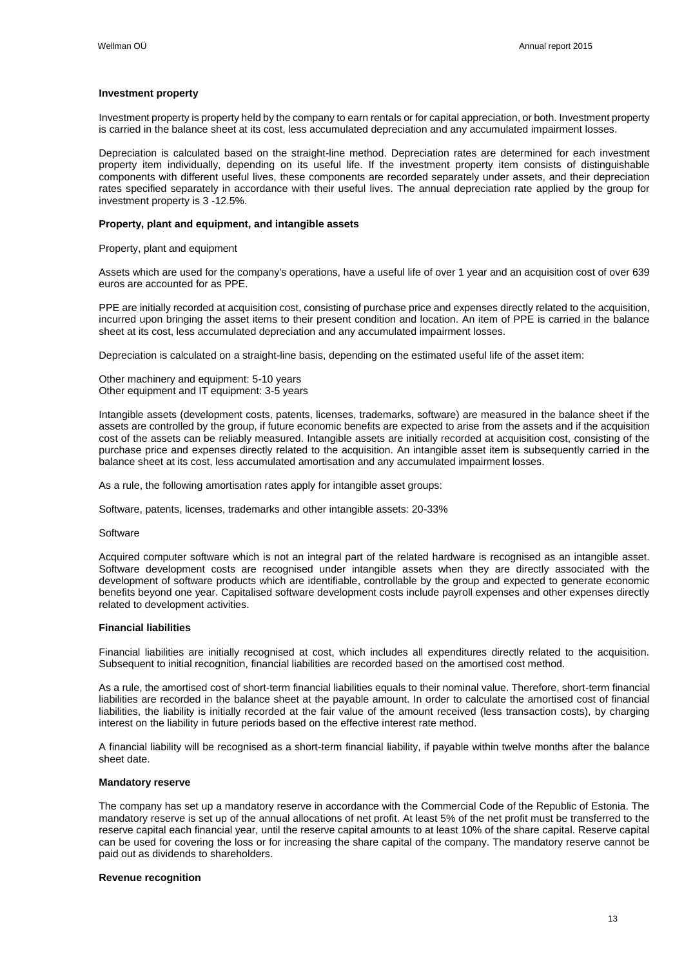#### **Investment property**

Investment property is property held by the company to earn rentals or for capital appreciation, or both. Investment property is carried in the balance sheet at its cost, less accumulated depreciation and any accumulated impairment losses.

Depreciation is calculated based on the straight-line method. Depreciation rates are determined for each investment property item individually, depending on its useful life. If the investment property item consists of distinguishable components with different useful lives, these components are recorded separately under assets, and their depreciation rates specified separately in accordance with their useful lives. The annual depreciation rate applied by the group for investment property is 3 -12.5%.

### **Property, plant and equipment, and intangible assets**

Property, plant and equipment

Assets which are used for the company's operations, have a useful life of over 1 year and an acquisition cost of over 639 euros are accounted for as PPE.

PPE are initially recorded at acquisition cost, consisting of purchase price and expenses directly related to the acquisition, incurred upon bringing the asset items to their present condition and location. An item of PPE is carried in the balance sheet at its cost, less accumulated depreciation and any accumulated impairment losses.

Depreciation is calculated on a straight-line basis, depending on the estimated useful life of the asset item:

Other machinery and equipment: 5-10 years Other equipment and IT equipment: 3-5 years

Intangible assets (development costs, patents, licenses, trademarks, software) are measured in the balance sheet if the assets are controlled by the group, if future economic benefits are expected to arise from the assets and if the acquisition cost of the assets can be reliably measured. Intangible assets are initially recorded at acquisition cost, consisting of the purchase price and expenses directly related to the acquisition. An intangible asset item is subsequently carried in the balance sheet at its cost, less accumulated amortisation and any accumulated impairment losses.

As a rule, the following amortisation rates apply for intangible asset groups:

Software, patents, licenses, trademarks and other intangible assets: 20-33%

#### **Software**

Acquired computer software which is not an integral part of the related hardware is recognised as an intangible asset. Software development costs are recognised under intangible assets when they are directly associated with the development of software products which are identifiable, controllable by the group and expected to generate economic benefits beyond one year. Capitalised software development costs include payroll expenses and other expenses directly related to development activities.

### **Financial liabilities**

Financial liabilities are initially recognised at cost, which includes all expenditures directly related to the acquisition. Subsequent to initial recognition, financial liabilities are recorded based on the amortised cost method.

As a rule, the amortised cost of short-term financial liabilities equals to their nominal value. Therefore, short-term financial liabilities are recorded in the balance sheet at the payable amount. In order to calculate the amortised cost of financial liabilities, the liability is initially recorded at the fair value of the amount received (less transaction costs), by charging interest on the liability in future periods based on the effective interest rate method.

A financial liability will be recognised as a short-term financial liability, if payable within twelve months after the balance sheet date.

### **Mandatory reserve**

The company has set up a mandatory reserve in accordance with the Commercial Code of the Republic of Estonia. The mandatory reserve is set up of the annual allocations of net profit. At least 5% of the net profit must be transferred to the reserve capital each financial year, until the reserve capital amounts to at least 10% of the share capital. Reserve capital can be used for covering the loss or for increasing the share capital of the company. The mandatory reserve cannot be paid out as dividends to shareholders.

### **Revenue recognition**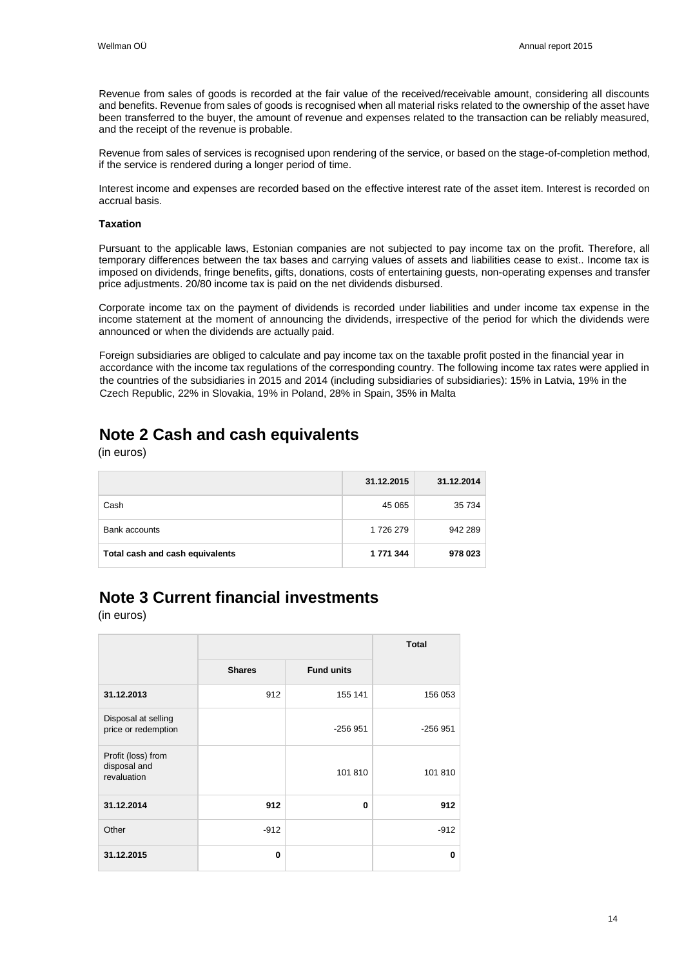Revenue from sales of goods is recorded at the fair value of the received/receivable amount, considering all discounts and benefits. Revenue from sales of goods is recognised when all material risks related to the ownership of the asset have been transferred to the buyer, the amount of revenue and expenses related to the transaction can be reliably measured, and the receipt of the revenue is probable.

Revenue from sales of services is recognised upon rendering of the service, or based on the stage-of-completion method, if the service is rendered during a longer period of time.

Interest income and expenses are recorded based on the effective interest rate of the asset item. Interest is recorded on accrual basis.

#### **Taxation**

Pursuant to the applicable laws, Estonian companies are not subjected to pay income tax on the profit. Therefore, all temporary differences between the tax bases and carrying values of assets and liabilities cease to exist.. Income tax is imposed on dividends, fringe benefits, gifts, donations, costs of entertaining guests, non-operating expenses and transfer price adjustments. 20/80 income tax is paid on the net dividends disbursed.

Corporate income tax on the payment of dividends is recorded under liabilities and under income tax expense in the income statement at the moment of announcing the dividends, irrespective of the period for which the dividends were announced or when the dividends are actually paid.

Foreign subsidiaries are obliged to calculate and pay income tax on the taxable profit posted in the financial year in accordance with the income tax regulations of the corresponding country. The following income tax rates were applied in the countries of the subsidiaries in 2015 and 2014 (including subsidiaries of subsidiaries): 15% in Latvia, 19% in the Czech Republic, 22% in Slovakia, 19% in Poland, 28% in Spain, 35% in Malta

### <span id="page-13-0"></span>**Note 2 Cash and cash equivalents**

(in euros)

|                                 | 31.12.2015 | 31.12.2014 |
|---------------------------------|------------|------------|
| Cash                            | 45 065     | 35 734     |
| Bank accounts                   | 1726 279   | 942 289    |
| Total cash and cash equivalents | 1 771 344  | 978 023    |

### <span id="page-13-1"></span>**Note 3 Current financial investments**

|                                                   |               |                   | <b>Total</b> |
|---------------------------------------------------|---------------|-------------------|--------------|
|                                                   | <b>Shares</b> | <b>Fund units</b> |              |
| 31.12.2013                                        | 912           | 155 141           | 156 053      |
| Disposal at selling<br>price or redemption        |               | $-256951$         | $-256951$    |
| Profit (loss) from<br>disposal and<br>revaluation |               | 101810            | 101 810      |
| 31.12.2014                                        | 912           | $\bf{0}$          | 912          |
| Other                                             | $-912$        |                   | $-912$       |
| 31.12.2015                                        | $\bf{0}$      |                   | 0            |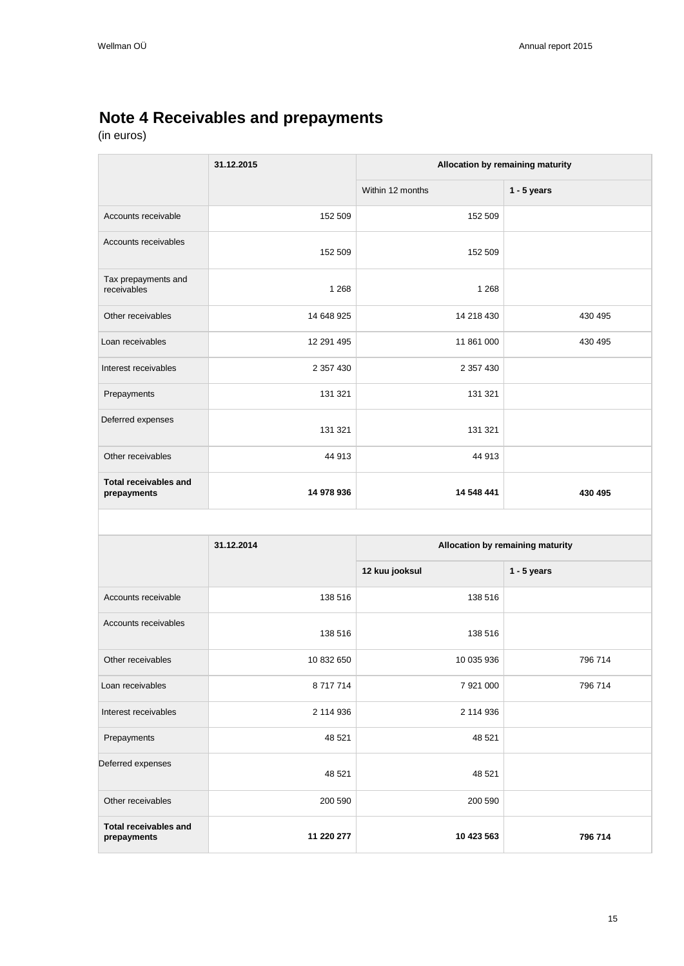## <span id="page-14-0"></span>**Note 4 Receivables and prepayments**

|                                             | 31.12.2015 | Allocation by remaining maturity |                                  |  |  |
|---------------------------------------------|------------|----------------------------------|----------------------------------|--|--|
|                                             |            | Within 12 months                 | $1 - 5$ years                    |  |  |
| Accounts receivable                         | 152 509    | 152 509                          |                                  |  |  |
| Accounts receivables                        | 152 509    | 152 509                          |                                  |  |  |
| Tax prepayments and<br>receivables          | 1 2 6 8    | 1 2 6 8                          |                                  |  |  |
| Other receivables                           | 14 648 925 | 14 218 430                       | 430 495                          |  |  |
| Loan receivables                            | 12 291 495 | 11 861 000                       | 430 495                          |  |  |
| Interest receivables                        | 2 357 430  | 2 357 430                        |                                  |  |  |
| Prepayments                                 | 131 321    | 131 321                          |                                  |  |  |
| Deferred expenses                           | 131 321    | 131 321                          |                                  |  |  |
| Other receivables                           | 44 913     | 44 913                           |                                  |  |  |
| <b>Total receivables and</b><br>prepayments | 14 978 936 | 14 548 441                       | 430 495                          |  |  |
|                                             |            |                                  |                                  |  |  |
|                                             | 31.12.2014 |                                  | Allocation by remaining maturity |  |  |
|                                             |            | 12 kuu jooksul                   | $1 - 5$ years                    |  |  |
| Accounts receivable                         | 138 516    | 138 516                          |                                  |  |  |
| Accounts receivables                        | 138 516    | 138 516                          |                                  |  |  |
| Other receivables                           | 10 832 650 | 10 035 936                       | 796 714                          |  |  |
| Loan receivables                            | 8 717 714  | 7 921 000                        | 796 714                          |  |  |
| Interest receivables                        | 2 114 936  | 2 114 936                        |                                  |  |  |
|                                             |            |                                  |                                  |  |  |

| <b>Total receivables and</b><br>prepayments | 11 220 277 | 10 423 563 | 796 714 |
|---------------------------------------------|------------|------------|---------|
| Other receivables                           | 200 590    | 200 590    |         |
| Deferred expenses                           | 48 521     | 48 521     |         |
| Prepayments                                 | 48 521     | 48 521     |         |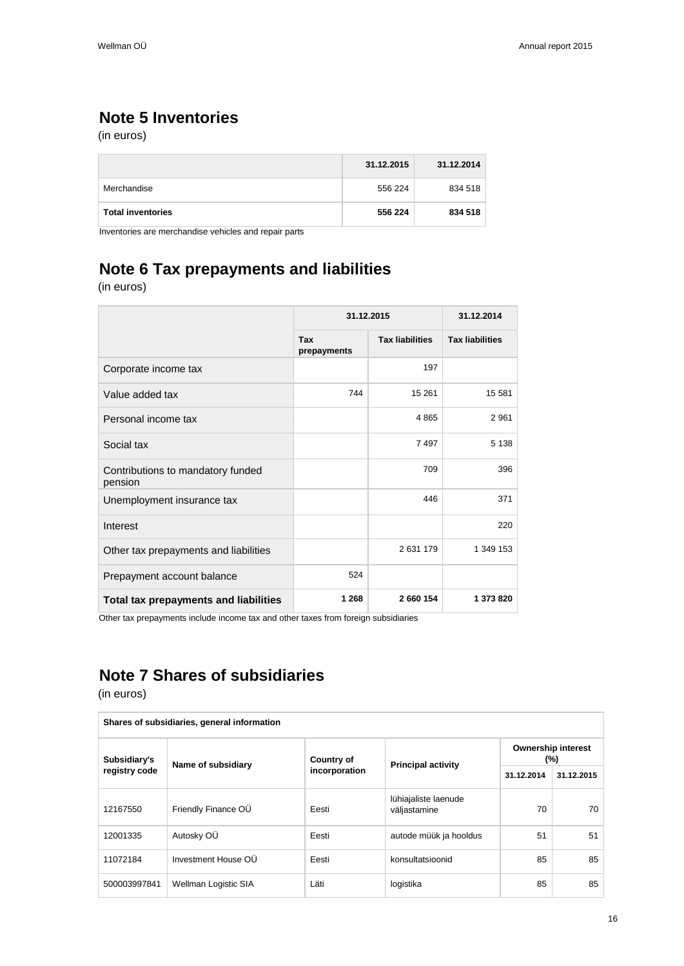## <span id="page-15-0"></span>**Note 5 Inventories**

(in euros)

|                          | 31.12.2015 | 31.12.2014 |
|--------------------------|------------|------------|
| Merchandise              | 556 224    | 834 518    |
| <b>Total inventories</b> | 556 224    | 834 518    |

Inventories are merchandise vehicles and repair parts

## <span id="page-15-1"></span>**Note 6 Tax prepayments and liabilities**

(in euros)

|                                              | 31.12.2015         |                        | 31.12.2014             |  |
|----------------------------------------------|--------------------|------------------------|------------------------|--|
|                                              | Tax<br>prepayments | <b>Tax liabilities</b> | <b>Tax liabilities</b> |  |
| Corporate income tax                         |                    | 197                    |                        |  |
| Value added tax                              | 744                | 15 261                 | 15 581                 |  |
| Personal income tax                          |                    | 4865                   | 2 9 6 1                |  |
| Social tax                                   |                    | 7 4 9 7                | 5 1 3 8                |  |
| Contributions to mandatory funded<br>pension |                    | 709                    | 396                    |  |
| Unemployment insurance tax                   |                    | 446                    | 371                    |  |
| Interest                                     |                    |                        | 220                    |  |
| Other tax prepayments and liabilities        |                    | 2631179                | 1 349 153              |  |
| Prepayment account balance                   | 524                |                        |                        |  |
| Total tax prepayments and liabilities        | 1 2 6 8            | 2 660 154              | 1 373 820              |  |

Other tax prepayments include income tax and other taxes from foreign subsidiaries

## <span id="page-15-2"></span>**Note 7 Shares of subsidiaries**

| Shares of subsidiaries, general information |                      |                   |                                      |                                  |            |  |  |
|---------------------------------------------|----------------------|-------------------|--------------------------------------|----------------------------------|------------|--|--|
| Subsidiary's                                | Name of subsidiary   | <b>Country of</b> | <b>Principal activity</b>            | <b>Ownership interest</b><br>(%) |            |  |  |
| registry code                               |                      | incorporation     |                                      | 31.12.2014                       | 31.12.2015 |  |  |
| 12167550                                    | Friendly Finance OU  | Eesti             | lühiajaliste laenude<br>väljastamine | 70                               | 70         |  |  |
| 12001335                                    | Autosky OÜ           | Eesti             | autode müük ja hooldus               | 51                               | 51         |  |  |
| 11072184                                    | Investment House OU  | Eesti             | konsultatsioonid                     | 85                               | 85         |  |  |
| 500003997841                                | Wellman Logistic SIA | Läti              | logistika                            | 85                               | 85         |  |  |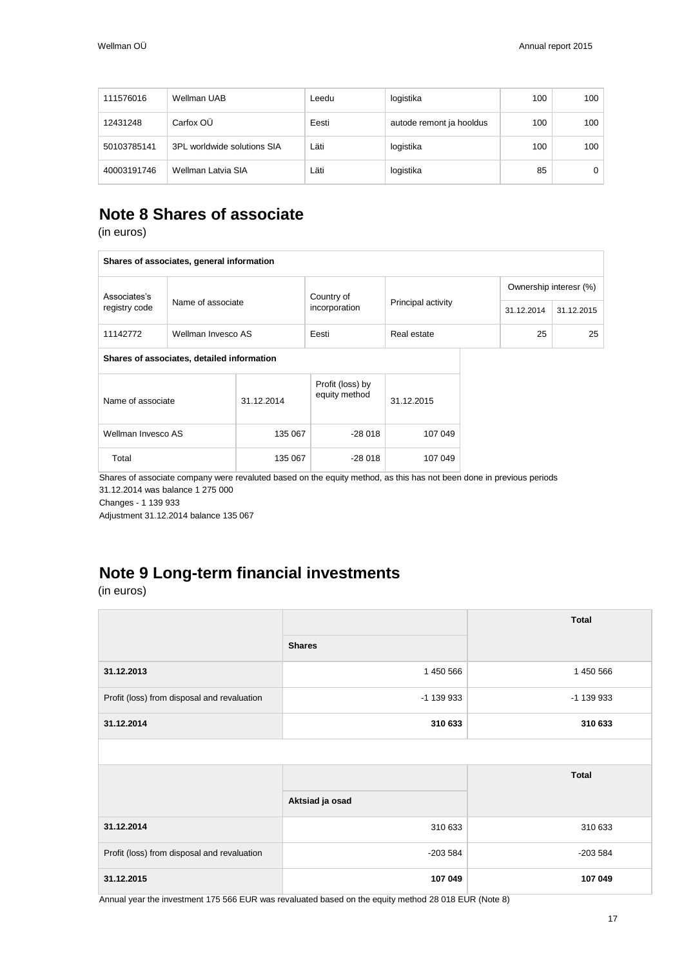| 111576016   | Wellman UAB                 | Leedu | logistika                | 100 | 100 |
|-------------|-----------------------------|-------|--------------------------|-----|-----|
| 12431248    | Carfox OU                   | Eesti | autode remont ja hooldus | 100 | 100 |
| 50103785141 | 3PL worldwide solutions SIA | Läti  | logistika                | 100 | 100 |
| 40003191746 | Wellman Latvia SIA          | Läti  | logistika                | 85  | 0   |

### <span id="page-16-0"></span>**Note 8 Shares of associate**

(in euros)

| Shares of associates, general information |                                            |            |                                   |                    |                        |            |  |  |
|-------------------------------------------|--------------------------------------------|------------|-----------------------------------|--------------------|------------------------|------------|--|--|
| Associates's                              |                                            |            | Country of                        |                    | Ownership interesr (%) |            |  |  |
| registry code                             | Name of associate                          |            | incorporation                     | Principal activity | 31.12.2014             | 31.12.2015 |  |  |
| 11142772                                  | Wellman Invesco AS                         |            | Eesti                             | Real estate        | 25                     | 25         |  |  |
|                                           | Shares of associates, detailed information |            |                                   |                    |                        |            |  |  |
| Name of associate                         |                                            | 31.12.2014 | Profit (loss) by<br>equity method | 31.12.2015         |                        |            |  |  |
| Wellman Invesco AS                        |                                            | 135 067    | $-28018$                          | 107 049            |                        |            |  |  |
| Total                                     |                                            | 135 067    | -28 018                           | 107 049            |                        |            |  |  |

Shares of associate company were revaluted based on the equity method, as this has not been done in previous periods 31.12.2014 was balance 1 275 000

Changes - 1 139 933

Adjustment 31.12.2014 balance 135 067

## <span id="page-16-1"></span>**Note 9 Long-term financial investments**

(in euros)

|                                             |                 | <b>Total</b> |
|---------------------------------------------|-----------------|--------------|
|                                             | <b>Shares</b>   |              |
| 31.12.2013                                  | 1 450 566       | 1 450 566    |
| Profit (loss) from disposal and revaluation | -1 139 933      | -1 139 933   |
| 31.12.2014                                  | 310 633         | 310 633      |
|                                             |                 |              |
|                                             |                 | <b>Total</b> |
|                                             | Aktsiad ja osad |              |
| 31.12.2014                                  | 310 633         | 310 633      |
| Profit (loss) from disposal and revaluation | $-203584$       | $-203584$    |
|                                             |                 |              |

Annual year the investment 175 566 EUR was revaluated based on the equity method 28 018 EUR (Note 8)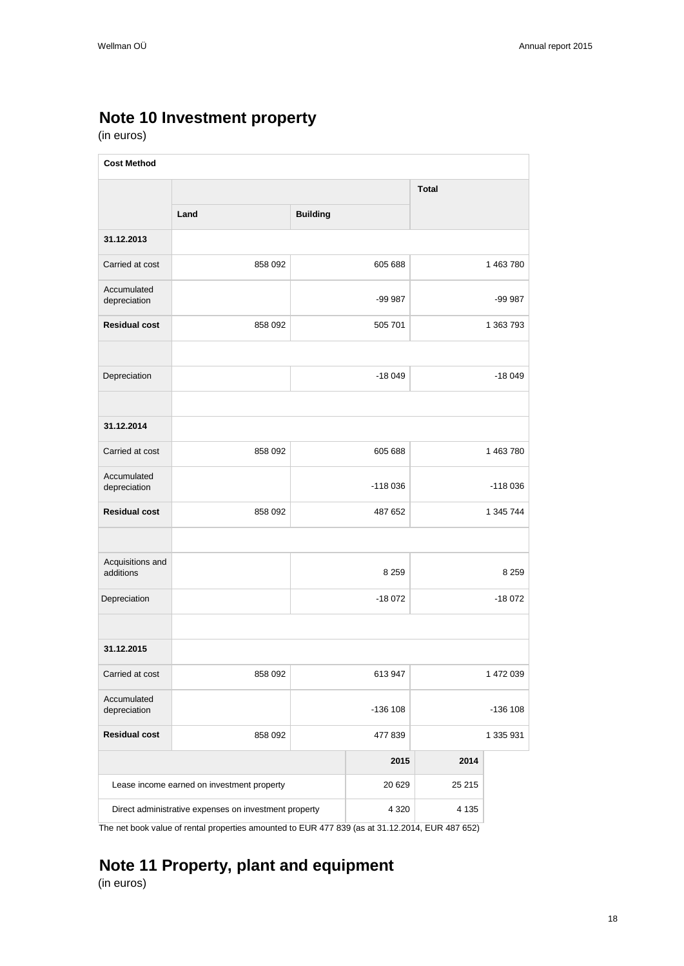## <span id="page-17-0"></span>**Note 10 Investment property**

(in euros)

| <b>Cost Method</b>            |                                                       |                 |           |              |            |  |
|-------------------------------|-------------------------------------------------------|-----------------|-----------|--------------|------------|--|
|                               |                                                       |                 |           | <b>Total</b> |            |  |
|                               | Land                                                  | <b>Building</b> |           |              |            |  |
| 31.12.2013                    |                                                       |                 |           |              |            |  |
| Carried at cost               | 858 092                                               |                 | 605 688   |              | 1 463 780  |  |
| Accumulated<br>depreciation   |                                                       |                 | -99 987   |              | -99 987    |  |
| <b>Residual cost</b>          | 858 092                                               |                 | 505 701   |              | 1 363 793  |  |
|                               |                                                       |                 |           |              |            |  |
| Depreciation                  |                                                       |                 | $-18049$  |              | $-18049$   |  |
|                               |                                                       |                 |           |              |            |  |
| 31.12.2014                    |                                                       |                 |           |              |            |  |
| Carried at cost               | 858 092                                               |                 | 605 688   |              | 1 463 780  |  |
| Accumulated<br>depreciation   |                                                       |                 | $-118036$ |              | $-118036$  |  |
| <b>Residual cost</b>          | 858 092                                               |                 | 487 652   |              | 1 345 744  |  |
|                               |                                                       |                 |           |              |            |  |
| Acquisitions and<br>additions |                                                       |                 | 8 2 5 9   |              | 8 2 5 9    |  |
| Depreciation                  |                                                       |                 | $-18072$  |              | $-18072$   |  |
|                               |                                                       |                 |           |              |            |  |
| 31.12.2015                    |                                                       |                 |           |              |            |  |
| Carried at cost               | 858 092                                               |                 | 613 947   |              | 1 472 039  |  |
| Accumulated<br>depreciation   |                                                       |                 | -136 108  |              | $-136$ 108 |  |
| <b>Residual cost</b>          | 858 092                                               |                 | 477839    |              | 1 335 931  |  |
|                               |                                                       |                 | 2015      | 2014         |            |  |
|                               | Lease income earned on investment property            |                 | 20 6 29   | 25 215       |            |  |
|                               | Direct administrative expenses on investment property |                 | 4 3 2 0   | 4 1 3 5      |            |  |

The net book value of rental properties amounted to EUR 477 839 (as at 31.12.2014, EUR 487 652)

# <span id="page-17-1"></span>**Note 11 Property, plant and equipment**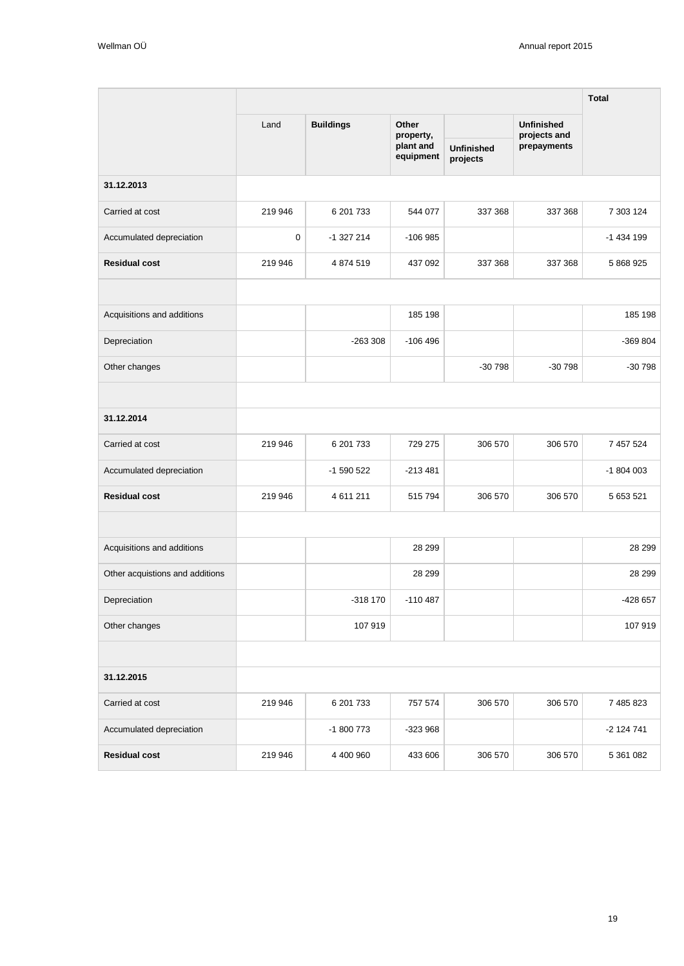|                                 |         |                  |                        |                               |                                   | <b>Total</b> |
|---------------------------------|---------|------------------|------------------------|-------------------------------|-----------------------------------|--------------|
|                                 | Land    | <b>Buildings</b> | Other<br>property,     |                               | <b>Unfinished</b><br>projects and |              |
|                                 |         |                  | plant and<br>equipment | <b>Unfinished</b><br>projects | prepayments                       |              |
| 31.12.2013                      |         |                  |                        |                               |                                   |              |
| Carried at cost                 | 219 946 | 6 201 733        | 544 077                | 337 368                       | 337 368                           | 7 303 124    |
| Accumulated depreciation        | 0       | $-1327214$       | $-106985$              |                               |                                   | -1 434 199   |
| <b>Residual cost</b>            | 219 946 | 4 874 519        | 437 092                | 337 368                       | 337 368                           | 5 868 925    |
|                                 |         |                  |                        |                               |                                   |              |
| Acquisitions and additions      |         |                  | 185 198                |                               |                                   | 185 198      |
| Depreciation                    |         | $-263308$        | $-106496$              |                               |                                   | -369 804     |
| Other changes                   |         |                  |                        | $-30798$                      | $-30798$                          | $-30798$     |
|                                 |         |                  |                        |                               |                                   |              |
| 31.12.2014                      |         |                  |                        |                               |                                   |              |
| Carried at cost                 | 219 946 | 6 201 733        | 729 275                | 306 570                       | 306 570                           | 7 457 524    |
| Accumulated depreciation        |         | -1 590 522       | -213 481               |                               |                                   | -1 804 003   |
| <b>Residual cost</b>            | 219 946 | 4 611 211        | 515 794                | 306 570                       | 306 570                           | 5 653 521    |
|                                 |         |                  |                        |                               |                                   |              |
| Acquisitions and additions      |         |                  | 28 299                 |                               |                                   | 28 299       |
| Other acquistions and additions |         |                  | 28 299                 |                               |                                   | 28 299       |
| Depreciation                    |         | -318 170         | $-110487$              |                               |                                   | -428 657     |
| Other changes                   |         | 107 919          |                        |                               |                                   | 107 919      |
|                                 |         |                  |                        |                               |                                   |              |
| 31.12.2015                      |         |                  |                        |                               |                                   |              |
| Carried at cost                 | 219 946 | 6 201 733        | 757 574                | 306 570                       | 306 570                           | 7 485 823    |
| Accumulated depreciation        |         | -1 800 773       | -323 968               |                               |                                   | -2 124 741   |
| <b>Residual cost</b>            | 219 946 | 4 400 960        | 433 606                | 306 570                       | 306 570                           | 5 361 082    |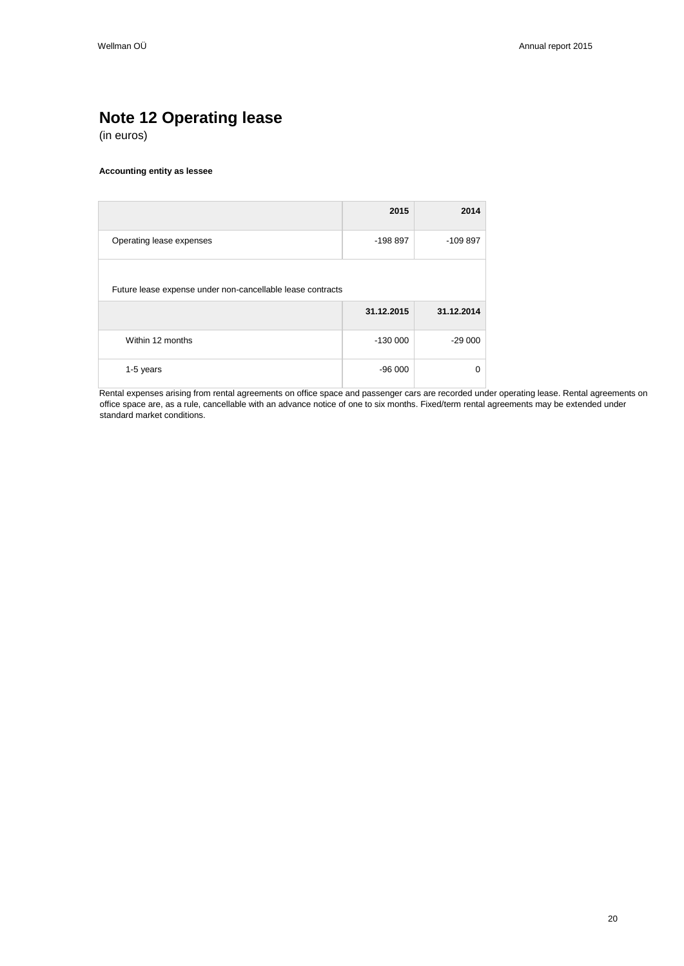## <span id="page-19-0"></span>**Note 12 Operating lease**

(in euros)

#### **Accounting entity as lessee**

|                                                            | 2015       | 2014       |
|------------------------------------------------------------|------------|------------|
| Operating lease expenses                                   | -198 897   | $-109897$  |
| Future lease expense under non-cancellable lease contracts |            |            |
|                                                            | 31.12.2015 | 31.12.2014 |
| Within 12 months                                           | $-130000$  | $-29000$   |
| 1-5 years                                                  | $-96000$   | $\Omega$   |

Rental expenses arising from rental agreements on office space and passenger cars are recorded under operating lease. Rental agreements on office space are, as a rule, cancellable with an advance notice of one to six months. Fixed/term rental agreements may be extended under standard market conditions.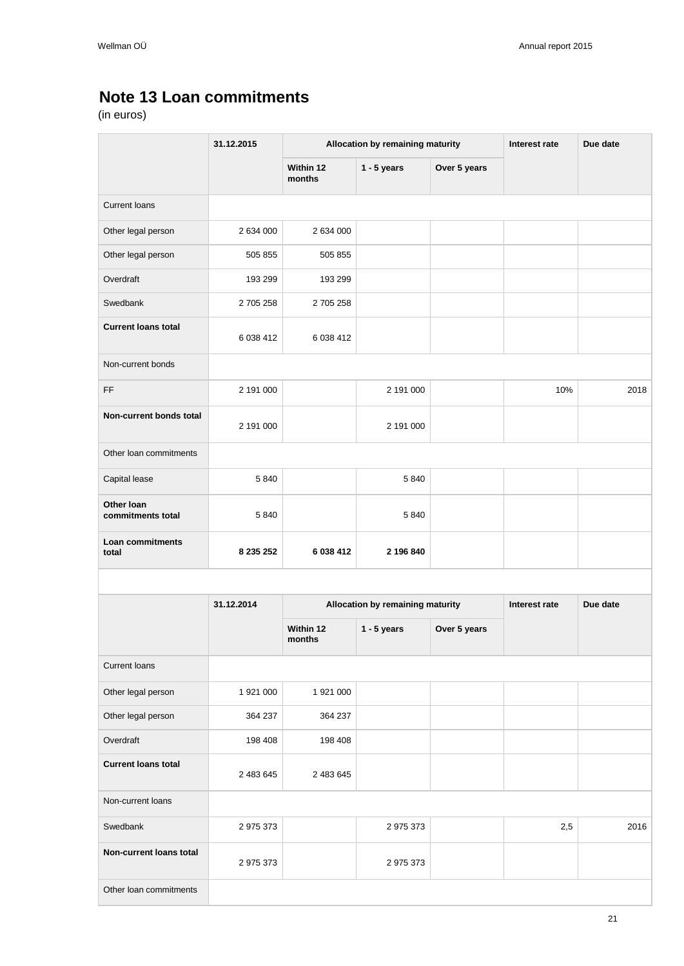## <span id="page-20-0"></span>**Note 13 Loan commitments**

|                                  | 31.12.2015 | Allocation by remaining maturity |                                  | Interest rate | Due date |          |
|----------------------------------|------------|----------------------------------|----------------------------------|---------------|----------|----------|
|                                  |            | Within 12<br>months              | $1 - 5$ years                    | Over 5 years  |          |          |
| <b>Current loans</b>             |            |                                  |                                  |               |          |          |
| Other legal person               | 2 634 000  | 2 634 000                        |                                  |               |          |          |
| Other legal person               | 505 855    | 505 855                          |                                  |               |          |          |
| Overdraft                        | 193 299    | 193 299                          |                                  |               |          |          |
| Swedbank                         | 2 705 258  | 2 705 258                        |                                  |               |          |          |
| <b>Current loans total</b>       | 6 038 412  | 6 038 412                        |                                  |               |          |          |
| Non-current bonds                |            |                                  |                                  |               |          |          |
| FF                               | 2 191 000  |                                  | 2 191 000                        |               | 10%      | 2018     |
| Non-current bonds total          | 2 191 000  |                                  | 2 191 000                        |               |          |          |
| Other loan commitments           |            |                                  |                                  |               |          |          |
| Capital lease                    | 5 8 4 0    |                                  | 5840                             |               |          |          |
| Other Ioan<br>commitments total  | 5 8 4 0    |                                  | 5 8 4 0                          |               |          |          |
| <b>Loan commitments</b><br>total | 8 235 252  | 6 038 412                        | 2 196 840                        |               |          |          |
|                                  |            |                                  |                                  |               |          |          |
|                                  | 31.12.2014 |                                  | Allocation by remaining maturity | Interest rate |          | Due date |
|                                  |            | Within 12<br>months              | $1 - 5$ years                    | Over 5 years  |          |          |
| Current loans                    |            |                                  |                                  |               |          |          |
| Other legal person               | 1 921 000  | 1 921 000                        |                                  |               |          |          |
| Other legal person               | 364 237    | 364 237                          |                                  |               |          |          |
| Overdraft                        | 198 408    | 198 408                          |                                  |               |          |          |
| <b>Current loans total</b>       | 2 483 645  | 2 483 645                        |                                  |               |          |          |
| Non-current loans                |            |                                  |                                  |               |          |          |
| Swedbank                         | 2 975 373  |                                  | 2975373                          |               | 2,5      | 2016     |
| Non-current loans total          | 2 975 373  |                                  | 2 975 373                        |               |          |          |
| Other loan commitments           |            |                                  |                                  |               |          |          |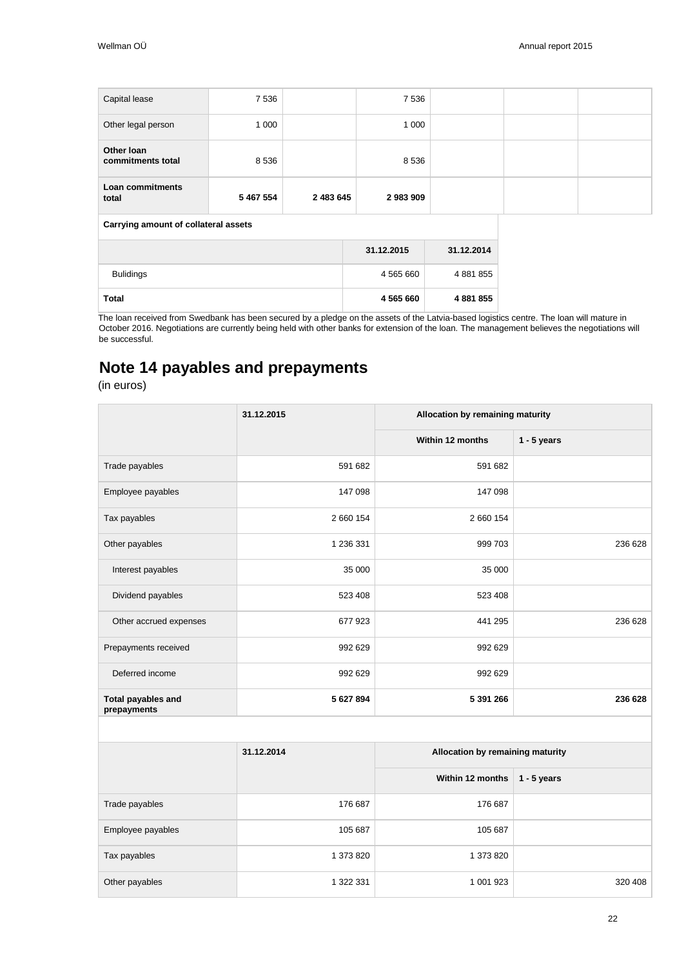| Capital lease                        | 7 5 3 6   |           | 7 5 3 6    |            |  |
|--------------------------------------|-----------|-----------|------------|------------|--|
| Other legal person                   | 1 0 0 0   |           | 1 0 0 0    |            |  |
| Other Ioan<br>commitments total      | 8 5 3 6   |           | 8 5 3 6    |            |  |
| Loan commitments<br>total            | 5 467 554 | 2 483 645 | 2983909    |            |  |
| Carrying amount of collateral assets |           |           |            |            |  |
|                                      |           |           | 31.12.2015 | 31.12.2014 |  |

| <b>Bulidings</b> | 4 5 6 5 6 6 0 | 4 881 855 |
|------------------|---------------|-----------|
| <b>Total</b>     | 4 565 660     | 4 881 855 |

The loan received from Swedbank has been secured by a pledge on the assets of the Latvia-based logistics centre. The loan will mature in October 2016. Negotiations are currently being held with other banks for extension of the loan. The management believes the negotiations will be successful.

## <span id="page-21-0"></span>**Note 14 payables and prepayments**

|                                          | 31.12.2015 | Allocation by remaining maturity |               |
|------------------------------------------|------------|----------------------------------|---------------|
|                                          |            | Within 12 months                 | $1 - 5$ years |
| Trade payables                           | 591 682    | 591 682                          |               |
| Employee payables                        | 147 098    | 147 098                          |               |
| Tax payables                             | 2 660 154  | 2 660 154                        |               |
| Other payables                           | 1 236 331  | 999 703                          | 236 628       |
| Interest payables                        | 35 000     | 35 000                           |               |
| Dividend payables                        | 523 408    | 523 408                          |               |
| Other accrued expenses                   | 677 923    | 441 295                          | 236 628       |
| Prepayments received                     | 992 629    | 992 629                          |               |
| Deferred income                          | 992 629    | 992 629                          |               |
| <b>Total payables and</b><br>prepayments | 5 627 894  | 5 391 266                        | 236 628       |
|                                          |            |                                  |               |
|                                          | 31.12.2014 | Allocation by remaining maturity |               |
|                                          |            | Within 12 months                 | $1 - 5$ years |
| Trade payables                           | 176 687    | 176 687                          |               |
| Employee payables                        | 105 687    | 105 687                          |               |
| Tax payables                             | 1 373 820  | 1 373 820                        |               |
| Other payables                           | 1 322 331  | 1 001 923                        | 320 408       |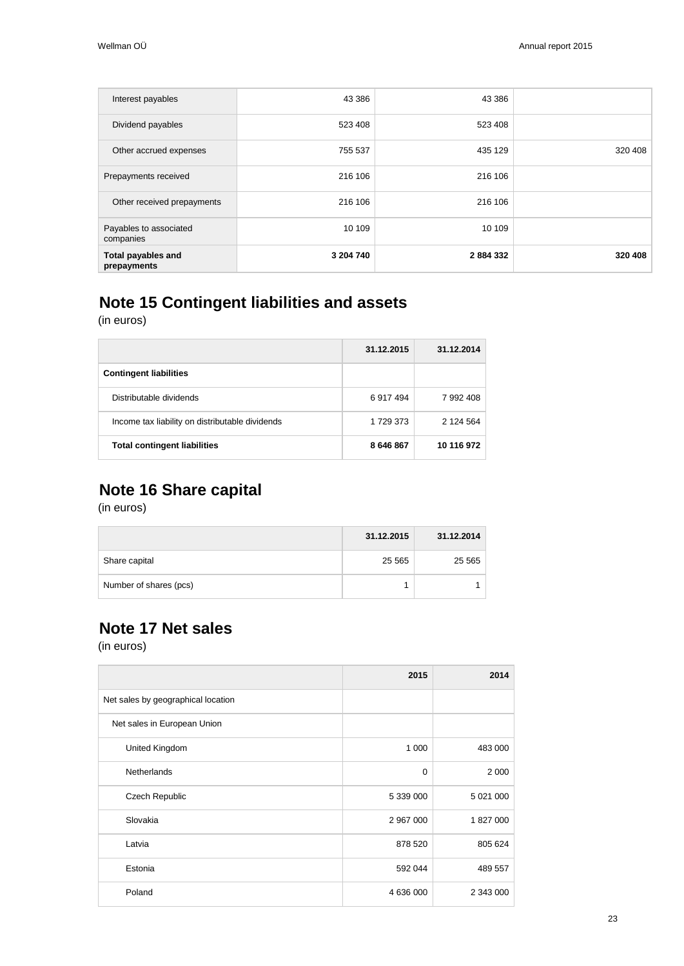| Interest payables                        | 43 386    | 43 386  |         |
|------------------------------------------|-----------|---------|---------|
| Dividend payables                        | 523 408   | 523 408 |         |
| Other accrued expenses                   | 755 537   | 435 129 | 320 408 |
| Prepayments received                     | 216 106   | 216 106 |         |
| Other received prepayments               | 216 106   | 216 106 |         |
| Payables to associated<br>companies      | 10 109    | 10 109  |         |
| <b>Total payables and</b><br>prepayments | 3 204 740 | 2884332 | 320 408 |

## <span id="page-22-0"></span>**Note 15 Contingent liabilities and assets**

(in euros)

|                                                 | 31.12.2015 | 31.12.2014 |
|-------------------------------------------------|------------|------------|
| <b>Contingent liabilities</b>                   |            |            |
| Distributable dividends                         | 6917494    | 7 992 408  |
| Income tax liability on distributable dividends | 1 729 373  | 2 124 564  |
| <b>Total contingent liabilities</b>             | 8 646 867  | 10 116 972 |

## <span id="page-22-1"></span>**Note 16 Share capital**

(in euros)

|                        | 31.12.2015 | 31.12.2014 |
|------------------------|------------|------------|
| Share capital          | 25 5 65    | 25 5 65    |
| Number of shares (pcs) |            |            |

## <span id="page-22-2"></span>**Note 17 Net sales**

|                                    | 2015      | 2014      |
|------------------------------------|-----------|-----------|
| Net sales by geographical location |           |           |
| Net sales in European Union        |           |           |
| United Kingdom                     | 1 0 0 0   | 483 000   |
| <b>Netherlands</b>                 | $\Omega$  | 2 0 0 0   |
| Czech Republic                     | 5 339 000 | 5 021 000 |
| Slovakia                           | 2 967 000 | 1827000   |
| Latvia                             | 878 520   | 805 624   |
| Estonia                            | 592 044   | 489 557   |
| Poland                             | 4 636 000 | 2 343 000 |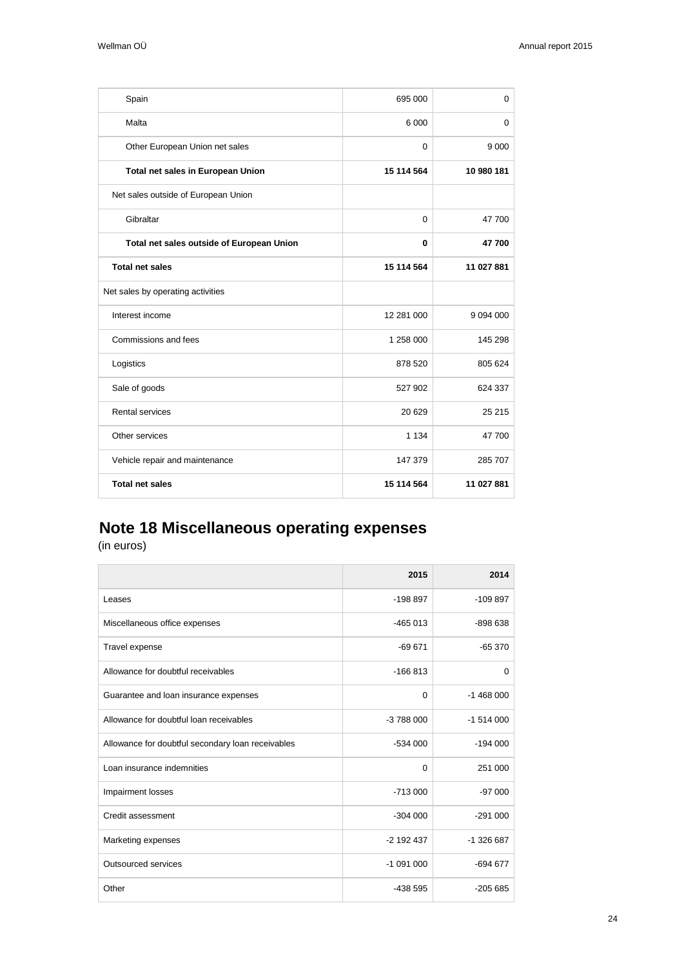| Spain                                     | 695 000     | 0             |
|-------------------------------------------|-------------|---------------|
| Malta                                     | 6 0 0 0     | 0             |
| Other European Union net sales            | $\Omega$    | 9 0 0 0       |
| Total net sales in European Union         | 15 114 564  | 10 980 181    |
| Net sales outside of European Union       |             |               |
| Gibraltar                                 | $\mathbf 0$ | 47 700        |
| Total net sales outside of European Union | 0           | 47700         |
| <b>Total net sales</b>                    | 15 114 564  | 11 027 881    |
| Net sales by operating activities         |             |               |
| Interest income                           | 12 281 000  | 9 0 9 4 0 0 0 |
| Commissions and fees                      | 1 258 000   | 145 298       |
| Logistics                                 | 878 520     | 805 624       |
| Sale of goods                             | 527 902     | 624 337       |
| <b>Rental services</b>                    | 20 6 29     | 25 215        |
| Other services                            | 1 1 3 4     | 47700         |
| Vehicle repair and maintenance            | 147 379     | 285 707       |
| <b>Total net sales</b>                    | 15 114 564  | 11 027 881    |

# <span id="page-23-0"></span>**Note 18 Miscellaneous operating expenses**

|                                                   | 2015         | 2014       |
|---------------------------------------------------|--------------|------------|
| Leases                                            | $-198897$    | $-109897$  |
| Miscellaneous office expenses                     | $-465013$    | $-898638$  |
| Travel expense                                    | $-69671$     | $-65370$   |
| Allowance for doubtful receivables                | $-166813$    | 0          |
| Guarantee and loan insurance expenses             | $\Omega$     | $-1468000$ |
| Allowance for doubtful loan receivables           | -3 788 000   | $-1514000$ |
| Allowance for doubtful secondary loan receivables | $-534000$    | $-194000$  |
| Loan insurance indemnities                        | $\Omega$     | 251 000    |
| Impairment losses                                 | $-713000$    | $-97000$   |
| Credit assessment                                 | $-304000$    | $-291000$  |
| Marketing expenses                                | $-2$ 192 437 | -1 326 687 |
| Outsourced services                               | $-1091000$   | $-694677$  |
| Other                                             | -438 595     | $-205685$  |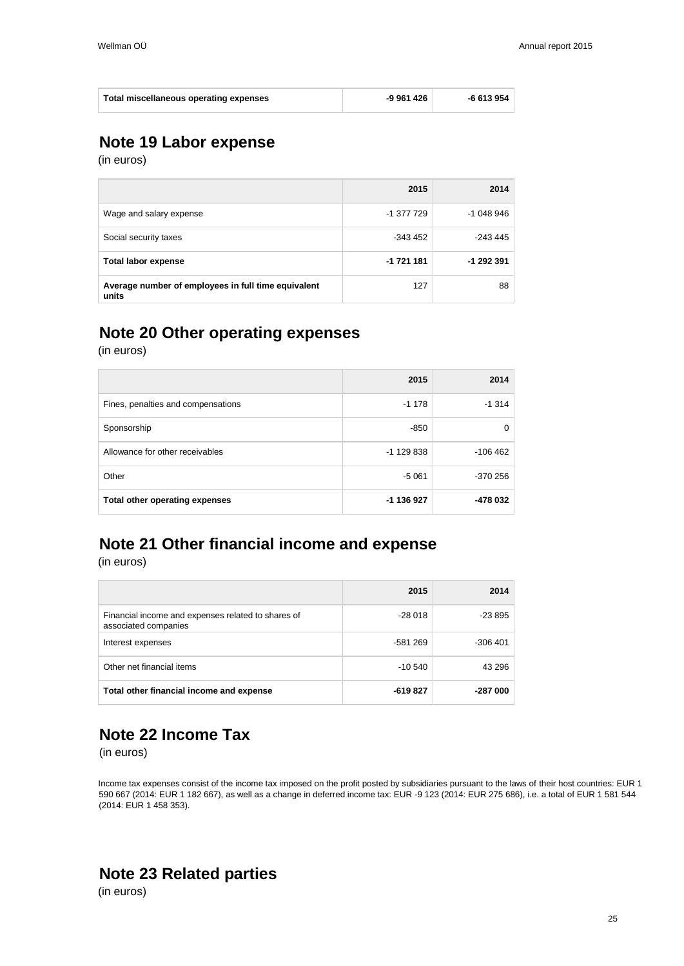| Total miscellaneous operating expenses | -9 961 426 | -6 613 954 |
|----------------------------------------|------------|------------|
|----------------------------------------|------------|------------|

## <span id="page-24-0"></span>**Note 19 Labor expense**

(in euros)

|                                                              | 2015       | 2014       |
|--------------------------------------------------------------|------------|------------|
| Wage and salary expense                                      | -1 377 729 | $-1048946$ |
| Social security taxes                                        | $-343.452$ | -243 445   |
| <b>Total labor expense</b>                                   | -1 721 181 | -1 292 391 |
| Average number of employees in full time equivalent<br>units | 127        | 88         |

## <span id="page-24-1"></span>**Note 20 Other operating expenses**

(in euros)

|                                    | 2015         | 2014      |
|------------------------------------|--------------|-----------|
| Fines, penalties and compensations | $-1178$      | $-1314$   |
| Sponsorship                        | $-850$       |           |
| Allowance for other receivables    | $-1$ 129 838 | $-106462$ |
| Other                              | $-5061$      | $-370256$ |
| Total other operating expenses     | -1 136 927   | -478 032  |

# <span id="page-24-2"></span>**Note 21 Other financial income and expense**

(in euros)

|                                                                            | 2015      | 2014      |
|----------------------------------------------------------------------------|-----------|-----------|
| Financial income and expenses related to shares of<br>associated companies | $-28018$  | -23 895   |
| Interest expenses                                                          | -581 269  | $-306401$ |
| Other net financial items                                                  | $-10.540$ | 43 296    |
| Total other financial income and expense                                   | -619 827  | -287 000  |

## <span id="page-24-3"></span>**Note 22 Income Tax**

(in euros)

Income tax expenses consist of the income tax imposed on the profit posted by subsidiaries pursuant to the laws of their host countries: EUR 1 590 667 (2014: EUR 1 182 667), as well as a change in deferred income tax: EUR -9 123 (2014: EUR 275 686), i.e. a total of EUR 1 581 544 (2014: EUR 1 458 353).

### <span id="page-24-4"></span>**Note 23 Related parties**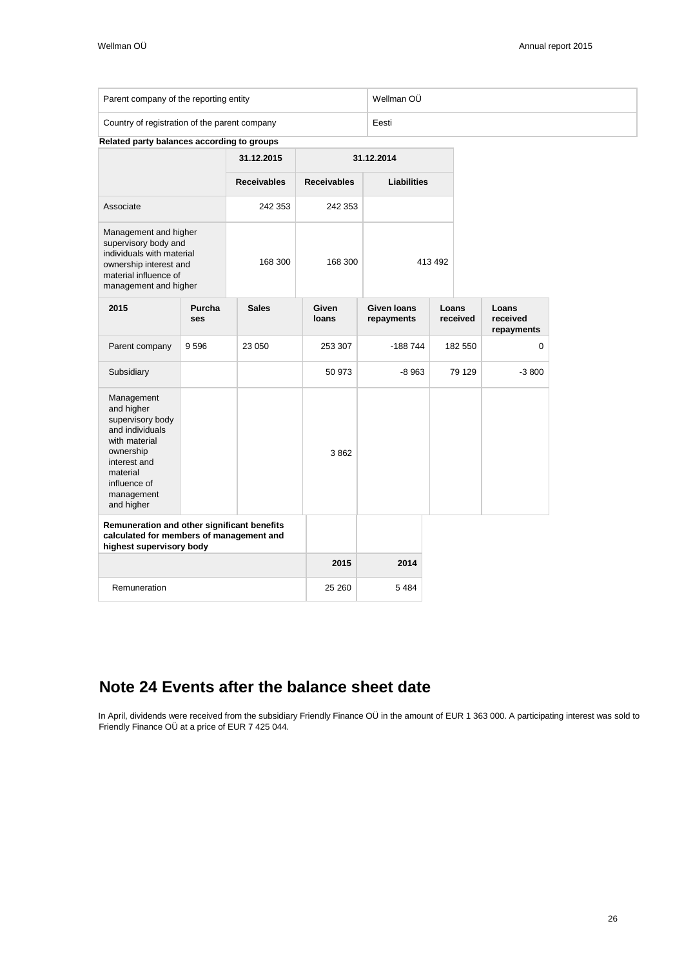| Parent company of the reporting entity        | Wellman OÜ |
|-----------------------------------------------|------------|
| Country of registration of the parent company | Eesti      |

|  |  |  | Related party balances according to groups |  |  |
|--|--|--|--------------------------------------------|--|--|
|--|--|--|--------------------------------------------|--|--|

|                                                                                                                                                                       |               | 31.12.2015         | 31.12.2014         |                                  |         |                   |                                 |
|-----------------------------------------------------------------------------------------------------------------------------------------------------------------------|---------------|--------------------|--------------------|----------------------------------|---------|-------------------|---------------------------------|
|                                                                                                                                                                       |               | <b>Receivables</b> | <b>Receivables</b> | <b>Liabilities</b>               |         |                   |                                 |
| Associate                                                                                                                                                             |               | 242 353            | 242 353            |                                  |         |                   |                                 |
| Management and higher<br>supervisory body and<br>individuals with material<br>ownership interest and<br>material influence of<br>management and higher                |               | 168 300            | 168 300            |                                  | 413 492 |                   |                                 |
| 2015                                                                                                                                                                  | Purcha<br>ses | <b>Sales</b>       | Given<br>loans     | <b>Given loans</b><br>repayments |         | Loans<br>received | Loans<br>received<br>repayments |
| Parent company                                                                                                                                                        | 9596          | 23 050             | 253 307            | -188 744                         |         | 182 550           | 0                               |
| Subsidiary                                                                                                                                                            |               |                    | 50 973             | $-8963$                          |         | 79 129            | $-3800$                         |
| Management<br>and higher<br>supervisory body<br>and individuals<br>with material<br>ownership<br>interest and<br>material<br>influence of<br>management<br>and higher |               |                    | 3862               |                                  |         |                   |                                 |
| Remuneration and other significant benefits<br>calculated for members of management and<br>highest supervisory body                                                   |               |                    |                    |                                  |         |                   |                                 |
|                                                                                                                                                                       |               |                    | 2015               | 2014                             |         |                   |                                 |
| Remuneration                                                                                                                                                          |               |                    | 25 260             | 5484                             |         |                   |                                 |

## <span id="page-25-0"></span>**Note 24 Events after the balance sheet date**

In April, dividends were received from the subsidiary Friendly Finance OÜ in the amount of EUR 1 363 000. A participating interest was sold to Friendly Finance OÜ at a price of EUR 7 425 044.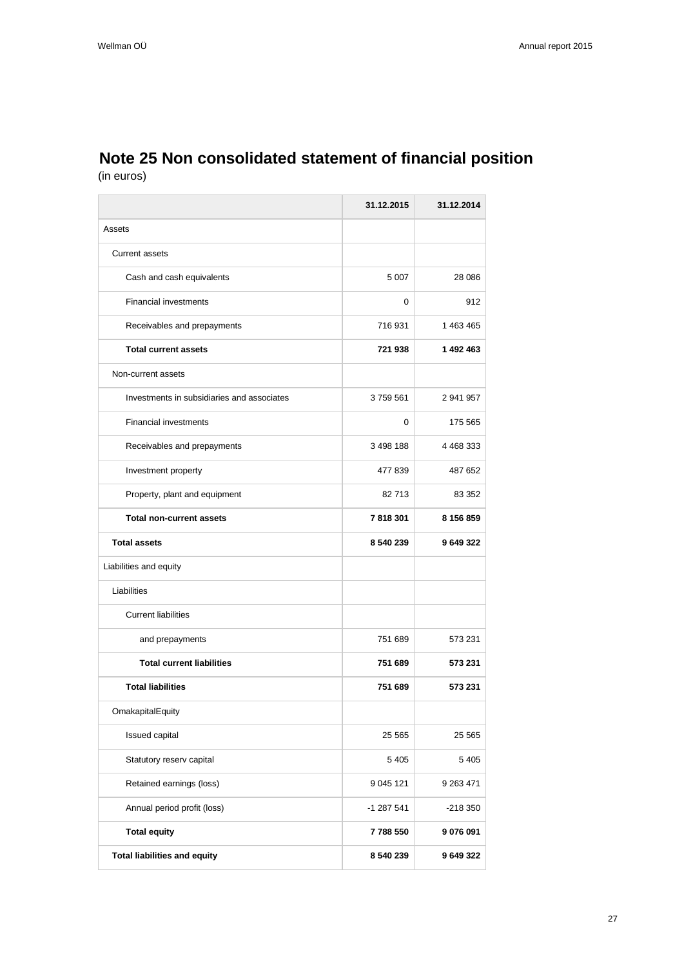### <span id="page-26-0"></span>**Note 25 Non consolidated statement of financial position** (in euros)

|                                            | 31.12.2015 | 31.12.2014 |
|--------------------------------------------|------------|------------|
| Assets                                     |            |            |
| <b>Current assets</b>                      |            |            |
| Cash and cash equivalents                  | 5 0 0 7    | 28 086     |
| <b>Financial investments</b>               | 0          | 912        |
| Receivables and prepayments                | 716931     | 1 463 465  |
| <b>Total current assets</b>                | 721938     | 1 492 463  |
| Non-current assets                         |            |            |
| Investments in subsidiaries and associates | 3759561    | 2 941 957  |
| <b>Financial investments</b>               | 0          | 175 565    |
| Receivables and prepayments                | 3 498 188  | 4 468 333  |
| Investment property                        | 477 839    | 487 652    |
| Property, plant and equipment              | 82713      | 83 352     |
| <b>Total non-current assets</b>            | 7818301    | 8 156 859  |
| <b>Total assets</b>                        | 8 540 239  | 9 649 322  |
| Liabilities and equity                     |            |            |
| Liabilities                                |            |            |
| <b>Current liabilities</b>                 |            |            |
| and prepayments                            | 751 689    | 573 231    |
| <b>Total current liabilities</b>           | 751 689    | 573 231    |
| <b>Total liabilities</b>                   | 751 689    | 573 231    |
| OmakapitalEquity                           |            |            |
| Issued capital                             | 25 565     | 25 565     |
| Statutory reserv capital                   | 5405       | 5 4 0 5    |
| Retained earnings (loss)                   | 9 045 121  | 9 263 471  |
| Annual period profit (loss)                | -1 287 541 | -218 350   |
| <b>Total equity</b>                        | 7788550    | 9 076 091  |
| <b>Total liabilities and equity</b>        | 8 540 239  | 9 649 322  |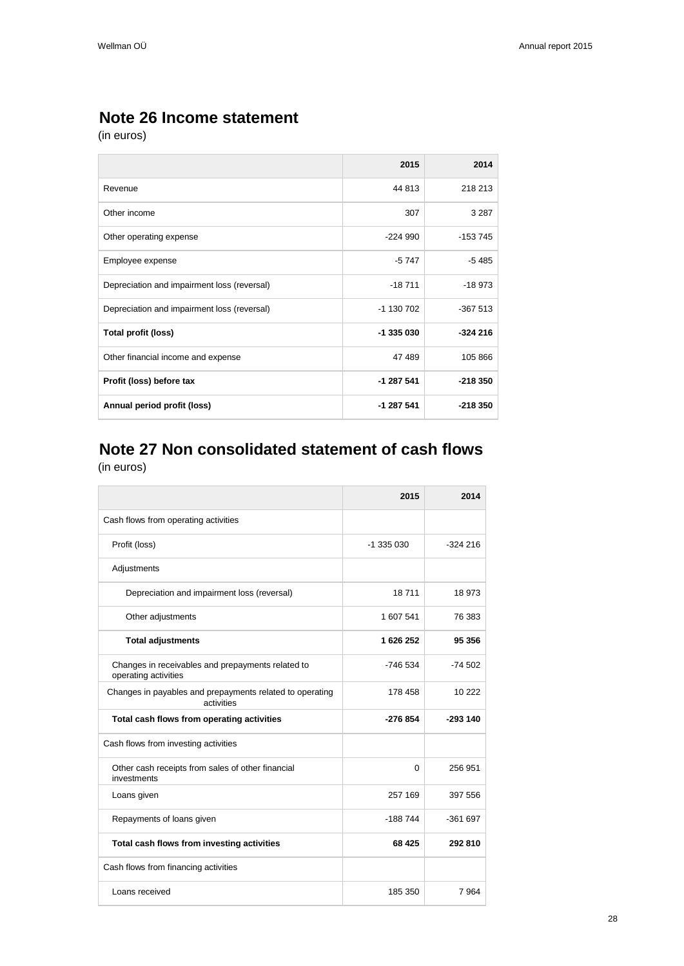## <span id="page-27-0"></span>**Note 26 Income statement**

(in euros)

|                                             | 2015       | 2014      |
|---------------------------------------------|------------|-----------|
| Revenue                                     | 44 813     | 218 213   |
| Other income                                | 307        | 3 2 8 7   |
| Other operating expense                     | $-224990$  | $-153745$ |
| Employee expense                            | $-5747$    | $-5485$   |
| Depreciation and impairment loss (reversal) | $-18711$   | $-18973$  |
| Depreciation and impairment loss (reversal) | -1 130 702 | $-367513$ |
| <b>Total profit (loss)</b>                  | -1 335 030 | $-324216$ |
| Other financial income and expense          | 47 489     | 105 866   |
| Profit (loss) before tax                    | $-1287541$ | $-218350$ |
| Annual period profit (loss)                 | -1 287 541 | $-218350$ |

### <span id="page-27-1"></span>**Note 27 Non consolidated statement of cash flows** (in euros)

|                                                                           | 2015       | 2014      |
|---------------------------------------------------------------------------|------------|-----------|
| Cash flows from operating activities                                      |            |           |
| Profit (loss)                                                             | $-1335030$ | $-324216$ |
| Adjustments                                                               |            |           |
| Depreciation and impairment loss (reversal)                               | 18711      | 18 973    |
| Other adjustments                                                         | 1 607 541  | 76 383    |
| <b>Total adjustments</b>                                                  | 1626252    | 95 356    |
| Changes in receivables and prepayments related to<br>operating activities | -746 534   | -74 502   |
| Changes in payables and prepayments related to operating<br>activities    | 178 458    | 10 222    |
| Total cash flows from operating activities                                | -276 854   | $-293140$ |
| Cash flows from investing activities                                      |            |           |
| Other cash receipts from sales of other financial<br>investments          | $\Omega$   | 256 951   |
| Loans given                                                               | 257 169    | 397 556   |
| Repayments of loans given                                                 | $-188744$  | $-361697$ |
| Total cash flows from investing activities                                | 68 4 25    | 292 810   |
| Cash flows from financing activities                                      |            |           |
| Loans received                                                            | 185 350    | 7 9 64    |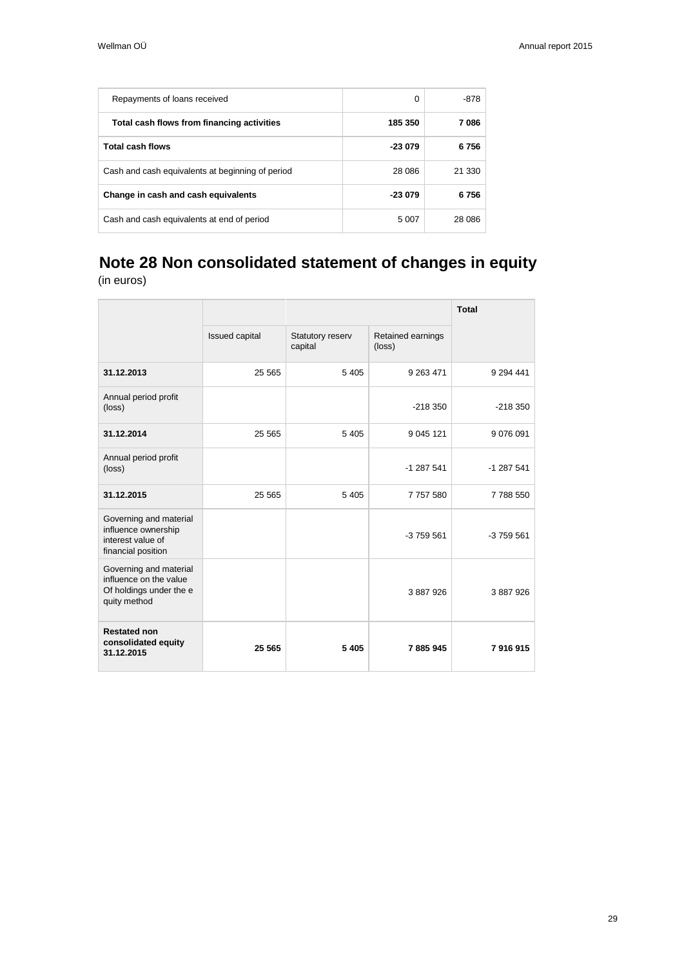| Repayments of loans received                     | 0        | -878   |
|--------------------------------------------------|----------|--------|
| Total cash flows from financing activities       | 185 350  | 7 086  |
| <b>Total cash flows</b>                          | $-23079$ | 6756   |
| Cash and cash equivalents at beginning of period | 28 086   | 21 330 |
| Change in cash and cash equivalents              | $-23079$ | 6756   |
| Cash and cash equivalents at end of period       | 5 0 0 7  | 28.086 |

# <span id="page-28-0"></span>**Note 28 Non consolidated statement of changes in equity**

|                                                                                             |                |                             |                                      | <b>Total</b>  |
|---------------------------------------------------------------------------------------------|----------------|-----------------------------|--------------------------------------|---------------|
|                                                                                             | Issued capital | Statutory reserv<br>capital | Retained earnings<br>$(\text{loss})$ |               |
| 31.12.2013                                                                                  | 25 5 65        | 5 4 0 5                     | 9 263 471                            | 9 2 9 4 4 4 1 |
| Annual period profit<br>(loss)                                                              |                |                             | $-218350$                            | $-218350$     |
| 31.12.2014                                                                                  | 25 5 65        | 5 4 0 5                     | 9 045 121                            | 9 0 7 6 0 9 1 |
| Annual period profit<br>$(\text{loss})$                                                     |                |                             | $-1287541$                           | $-1287541$    |
| 31.12.2015                                                                                  | 25 5 65        | 5 4 0 5                     | 7 757 580                            | 7788550       |
| Governing and material<br>influence ownership<br>interest value of<br>financial position    |                |                             | $-3759561$                           | $-3759561$    |
| Governing and material<br>influence on the value<br>Of holdings under the e<br>quity method |                |                             | 3 887 926                            | 3887926       |
| <b>Restated non</b><br>consolidated equity<br>31.12.2015                                    | 25 5 65        | 5 4 0 5                     | 7885945                              | 7916915       |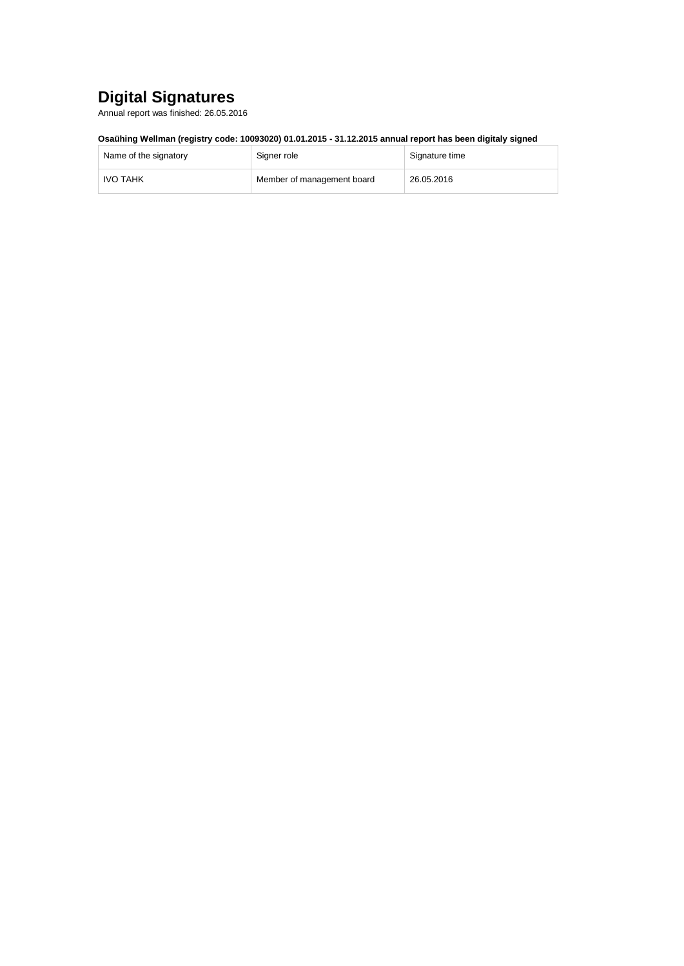## <span id="page-29-0"></span>**Digital Signatures**

Annual report was finished: 26.05.2016

### **Osaühing Wellman (registry code: 10093020) 01.01.2015 - 31.12.2015 annual report has been digitaly signed**

| Name of the signatory | Signer role                | Signature time |
|-----------------------|----------------------------|----------------|
| IVO TAHK              | Member of management board | 26.05.2016     |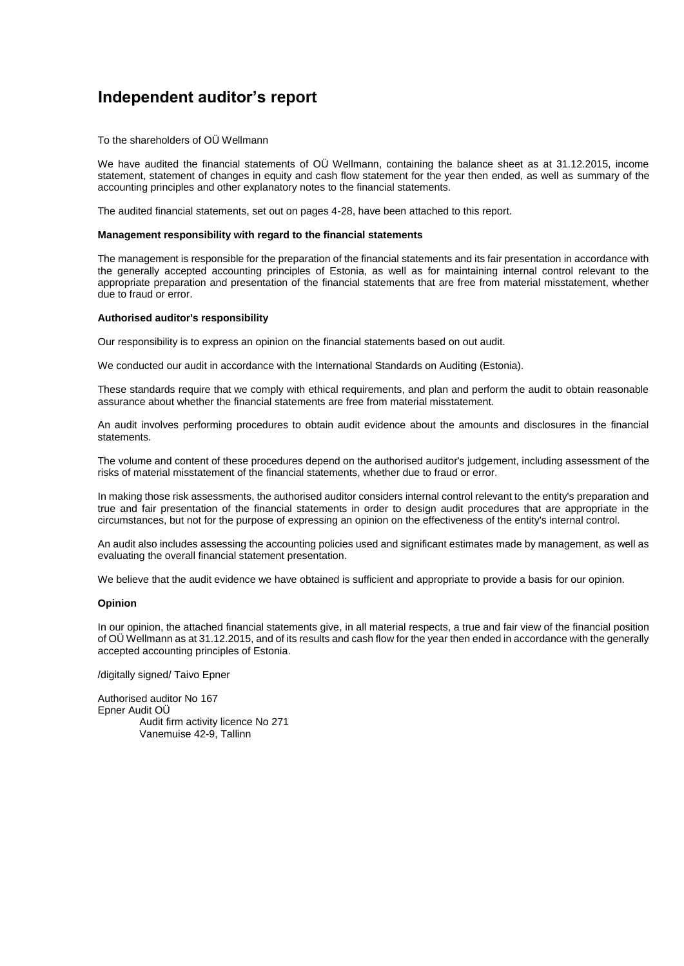### <span id="page-30-0"></span>**Independent auditor's report**

To the shareholders of OÜ Wellmann

We have audited the financial statements of OÜ Wellmann, containing the balance sheet as at 31.12.2015, income statement, statement of changes in equity and cash flow statement for the year then ended, as well as summary of the accounting principles and other explanatory notes to the financial statements.

The audited financial statements, set out on pages 4-28, have been attached to this report.

#### **Management responsibility with regard to the financial statements**

The management is responsible for the preparation of the financial statements and its fair presentation in accordance with the generally accepted accounting principles of Estonia, as well as for maintaining internal control relevant to the appropriate preparation and presentation of the financial statements that are free from material misstatement, whether due to fraud or error.

#### **Authorised auditor's responsibility**

Our responsibility is to express an opinion on the financial statements based on out audit.

We conducted our audit in accordance with the International Standards on Auditing (Estonia).

These standards require that we comply with ethical requirements, and plan and perform the audit to obtain reasonable assurance about whether the financial statements are free from material misstatement.

An audit involves performing procedures to obtain audit evidence about the amounts and disclosures in the financial statements.

The volume and content of these procedures depend on the authorised auditor's judgement, including assessment of the risks of material misstatement of the financial statements, whether due to fraud or error.

In making those risk assessments, the authorised auditor considers internal control relevant to the entity's preparation and true and fair presentation of the financial statements in order to design audit procedures that are appropriate in the circumstances, but not for the purpose of expressing an opinion on the effectiveness of the entity's internal control.

An audit also includes assessing the accounting policies used and significant estimates made by management, as well as evaluating the overall financial statement presentation.

We believe that the audit evidence we have obtained is sufficient and appropriate to provide a basis for our opinion.

#### **Opinion**

In our opinion, the attached financial statements give, in all material respects, a true and fair view of the financial position of OÜ Wellmann as at 31.12.2015, and of its results and cash flow for the year then ended in accordance with the generally accepted accounting principles of Estonia.

/digitally signed/ Taivo Epner

Authorised auditor No 167 Epner Audit OÜ Audit firm activity licence No 271 Vanemuise 42-9, Tallinn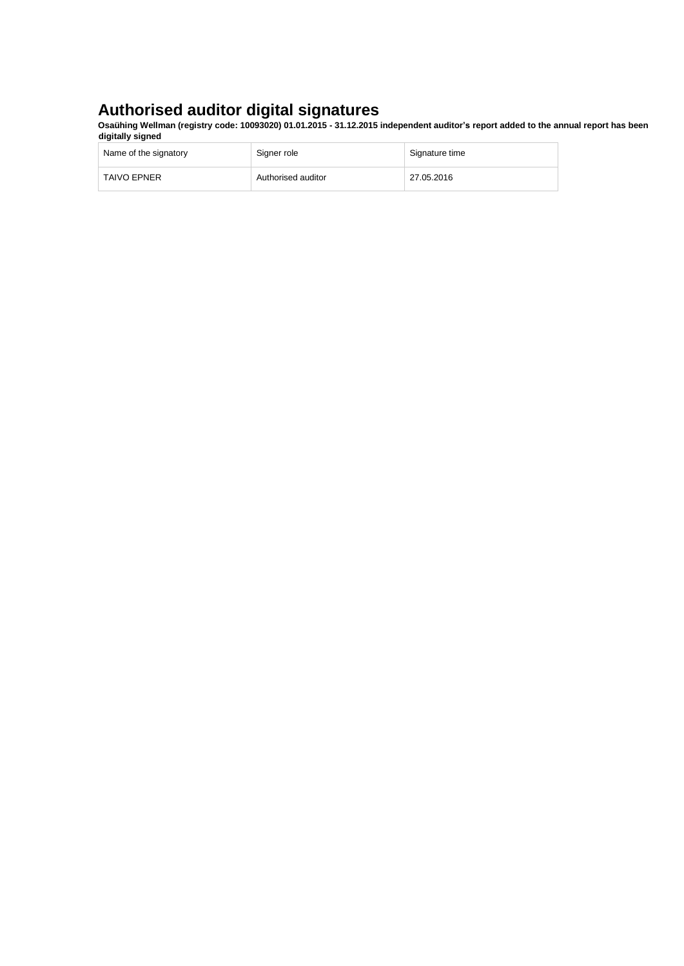### **Authorised auditor digital signatures**

**Osaühing Wellman (registry code: 10093020) 01.01.2015 - 31.12.2015 independent auditor's report added to the annual report has been digitally signed**

| Name of the signatory | Signer role        | Signature time |
|-----------------------|--------------------|----------------|
| <b>TAIVO EPNER</b>    | Authorised auditor | 27.05.2016     |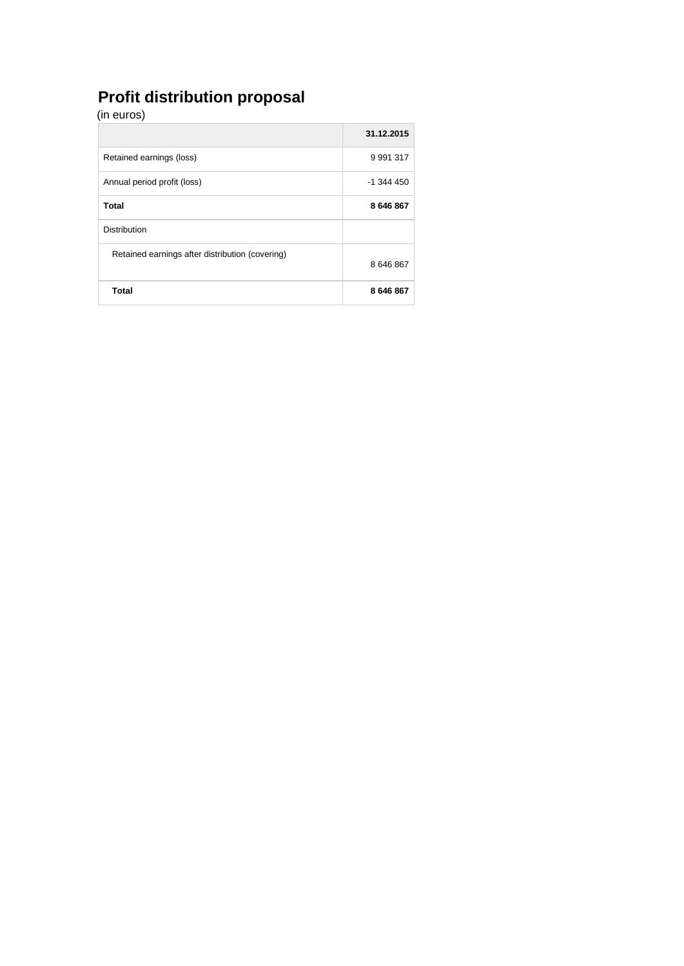## **Profit distribution proposal**

| (in euros)                                      |               |
|-------------------------------------------------|---------------|
|                                                 | 31.12.2015    |
| Retained earnings (loss)                        | 9 9 9 1 3 1 7 |
| Annual period profit (loss)                     | $-1$ 344 450  |
| Total                                           | 8 646 867     |
| <b>Distribution</b>                             |               |
| Retained earnings after distribution (covering) | 8 646 867     |
| <b>Total</b>                                    | 8 646 867     |